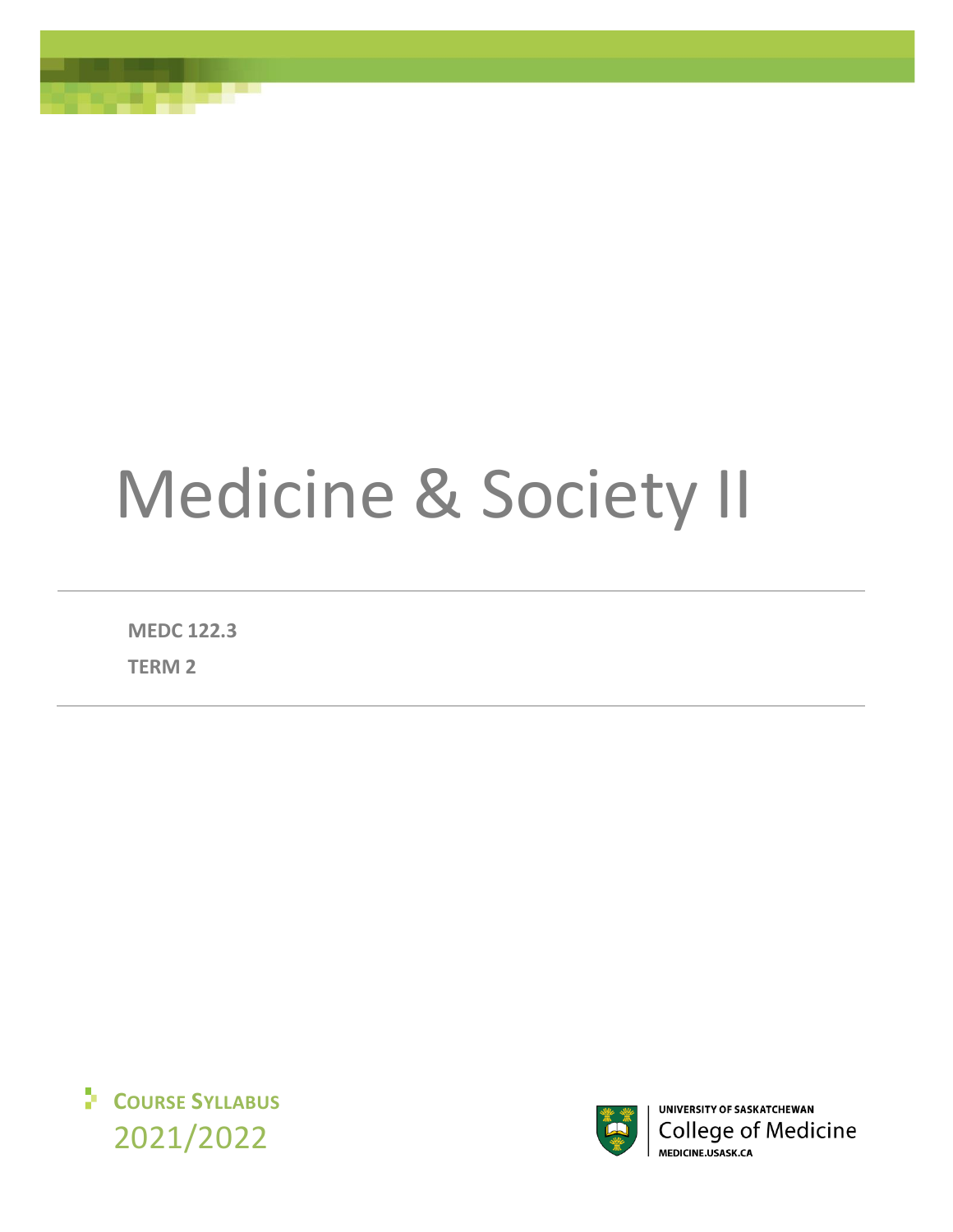# Medicine & Society II

**MEDC 122.3**

**TERM 2**





UNIVERSITY OF SASKATCHEWAN **College of Medicine** MEDICINE.USASK.CA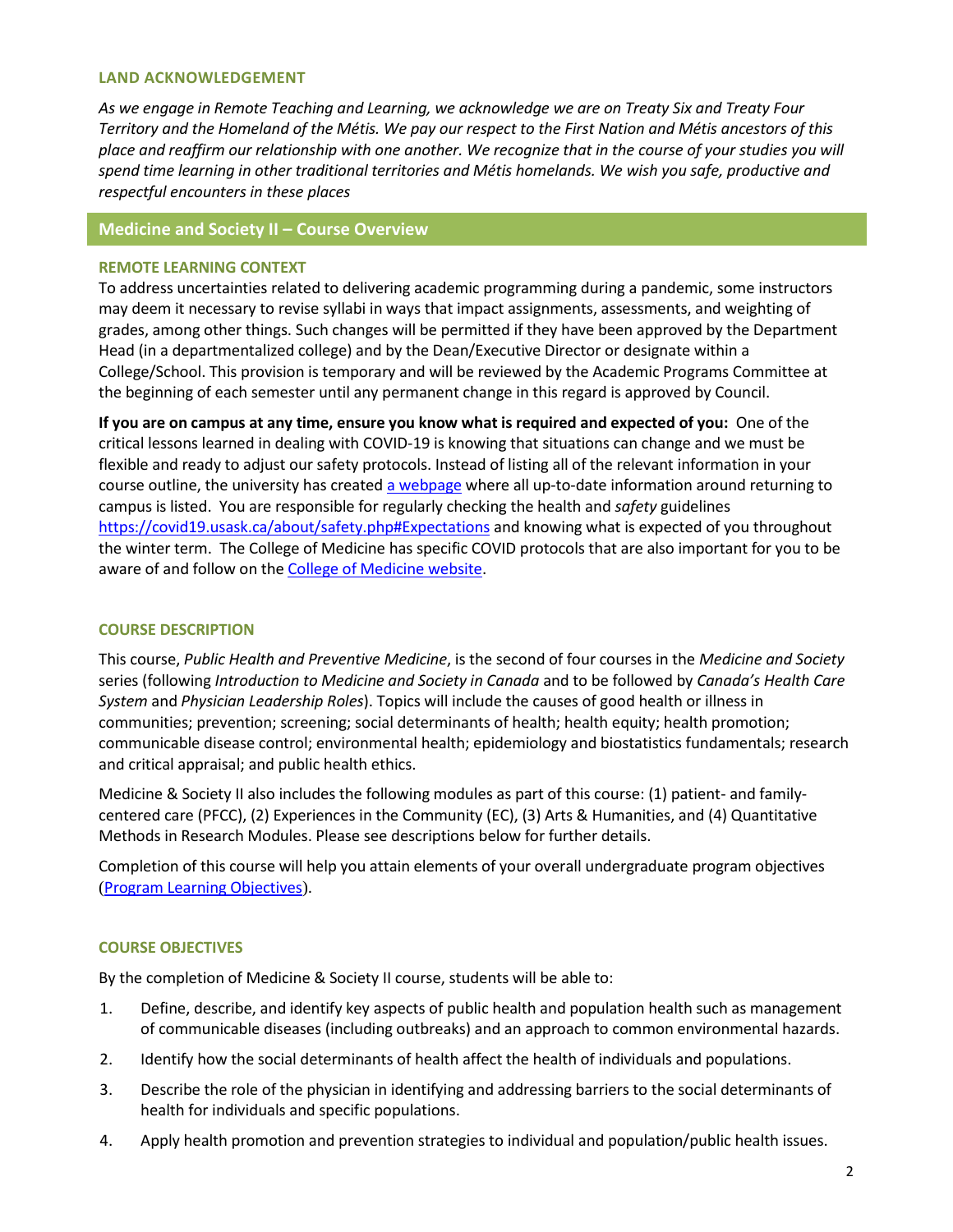#### **LAND ACKNOWLEDGEMENT**

*As we engage in Remote Teaching and Learning, we acknowledge we are on Treaty Six and Treaty Four Territory and the Homeland of the Métis. We pay our respect to the First Nation and Métis ancestors of this*  place and reaffirm our relationship with one another. We recognize that in the course of your studies you will *spend time learning in other traditional territories and Métis homelands. We wish you safe, productive and respectful encounters in these places*

# **Medicine and Society II – Course Overview**

#### **REMOTE LEARNING CONTEXT**

To address uncertainties related to delivering academic programming during a pandemic, some instructors may deem it necessary to revise syllabi in ways that impact assignments, assessments, and weighting of grades, among other things. Such changes will be permitted if they have been approved by the Department Head (in a departmentalized college) and by the Dean/Executive Director or designate within a College/School. This provision is temporary and will be reviewed by the Academic Programs Committee at the beginning of each semester until any permanent change in this regard is approved by Council.

**If you are on campus at any time, ensure you know what is required and expected of you:** One of the critical lessons learned in dealing with COVID-19 is knowing that situations can change and we must be flexible and ready to adjust our safety protocols. Instead of listing all of the relevant information in your course outline, the university has create[d a webpage](https://covid19.usask.ca/students.php#Oncampusessentials) where all up-to-date information around returning to campus is listed. You are responsible for regularly checking the health and *safety* guidelines <https://covid19.usask.ca/about/safety.php#Expectations> and knowing what is expected of you throughout the winter term. The College of Medicine has specific COVID protocols that are also important for you to be aware of and follow on the [College of Medicine website.](https://medicine.usask.ca/students/covid19.php)

## **COURSE DESCRIPTION**

This course, *Public Health and Preventive Medicine*, is the second of four courses in the *Medicine and Society* series (following *Introduction to Medicine and Society in Canada* and to be followed by *Canada's Health Care System* and *Physician Leadership Roles*). Topics will include the causes of good health or illness in communities; prevention; screening; social determinants of health; health equity; health promotion; communicable disease control; environmental health; epidemiology and biostatistics fundamentals; research and critical appraisal; and public health ethics.

Medicine & Society II also includes the following modules as part of this course: (1) patient- and familycentered care (PFCC), (2) Experiences in the Community (EC), (3) Arts & Humanities, and (4) Quantitative Methods in Research Modules. Please see descriptions below for further details.

Completion of this course will help you attain elements of your overall undergraduate program objectives ([Program Learning](https://medicine.usask.ca/students/undergraduate/curriculum-schedules-objectives.php#ProgramLearningObjectives) Objectives).

## **COURSE OBJECTIVES**

By the completion of Medicine & Society II course, students will be able to:

- 1. Define, describe, and identify key aspects of public health and population health such as management of communicable diseases (including outbreaks) and an approach to common environmental hazards.
- 2. Identify how the social determinants of health affect the health of individuals and populations.
- 3. Describe the role of the physician in identifying and addressing barriers to the social determinants of health for individuals and specific populations.
- 4. Apply health promotion and prevention strategies to individual and population/public health issues.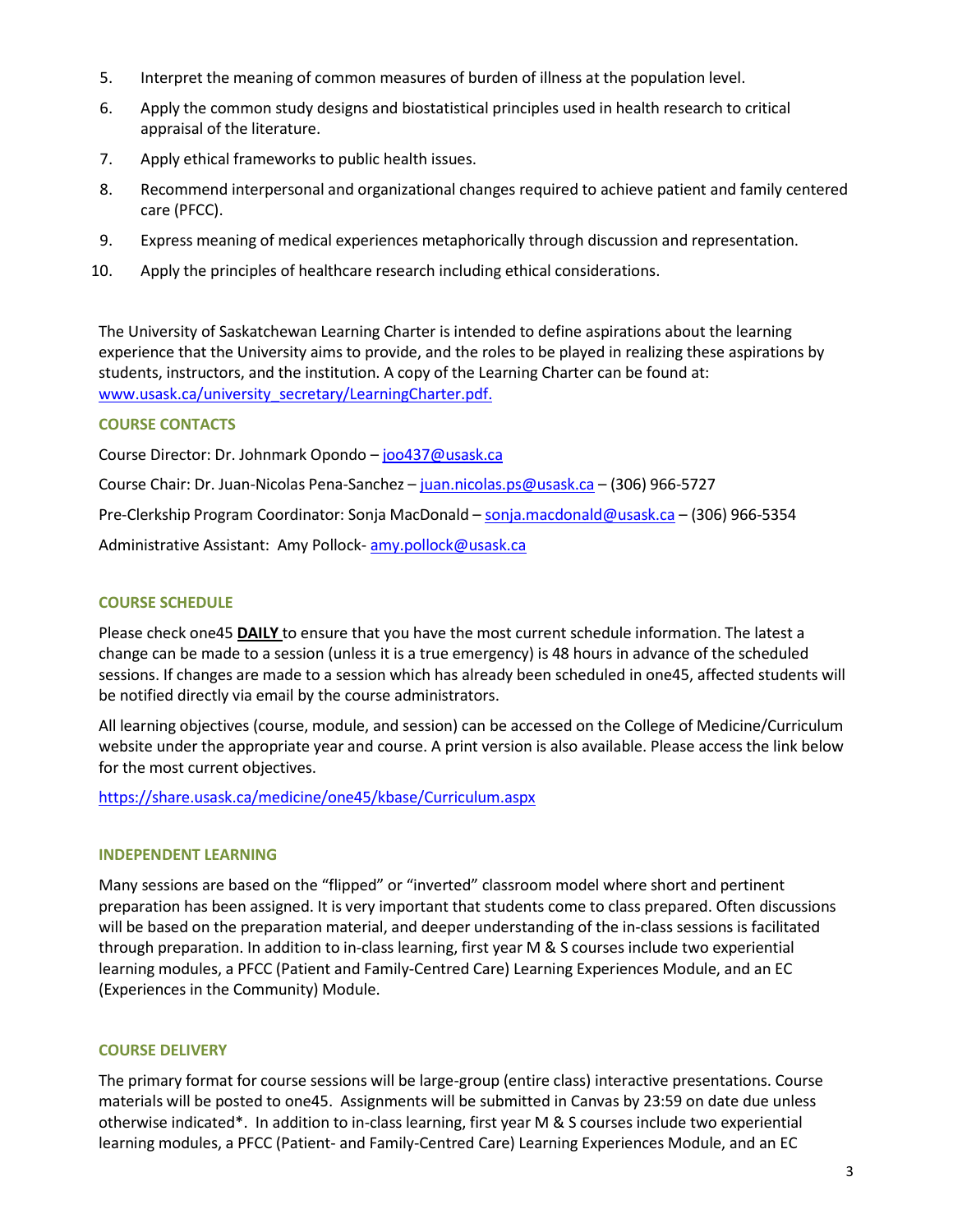- 5. Interpret the meaning of common measures of burden of illness at the population level.
- 6. Apply the common study designs and biostatistical principles used in health research to critical appraisal of the literature.
- 7. Apply ethical frameworks to public health issues.
- 8. Recommend interpersonal and organizational changes required to achieve patient and family centered care (PFCC).
- 9. Express meaning of medical experiences metaphorically through discussion and representation.
- 10. Apply the principles of healthcare research including ethical considerations.

The University of Saskatchewan Learning Charter is intended to define aspirations about the learning experience that the University aims to provide, and the roles to be played in realizing these aspirations by students, instructors, and the institution. A copy of the Learning Charter can be found at: [www.usask.ca/university\\_secretary/LearningCharter.pdf.](http://www.usask.ca/university_secretary/LearningCharter.pdf)

# **COURSE CONTACTS**

Course Director: Dr. Johnmark Opondo – [joo437@usask.ca](mailto:joo437@usask.ca)

Course Chair: Dr. Juan-Nicolas Pena-Sanchez – [juan.nicolas.ps@usask.ca](mailto:juan.nicolas.ps@usask.ca) – (306) 966-5727

Pre-Clerkship Program Coordinator: Sonja MacDonald – [sonja.macdonald@usask.ca](mailto:sonja.macdonald@usask.ca) – (306) 966-5354

Administrative Assistant: Amy Pollock- [amy.pollock@usask.ca](mailto:amy.pollock@usask.ca)

# **COURSE SCHEDULE**

Please check one45 **DAILY** to ensure that you have the most current schedule information. The latest a change can be made to a session (unless it is a true emergency) is 48 hours in advance of the scheduled sessions. If changes are made to a session which has already been scheduled in one45, affected students will be notified directly via email by the course administrators.

All learning objectives (course, module, and session) can be accessed on the College of Medicine/Curriculum website under the appropriate year and course. A print version is also available. Please access the link below for the most current objectives.

<https://share.usask.ca/medicine/one45/kbase/Curriculum.aspx>

## **INDEPENDENT LEARNING**

Many sessions are based on the "flipped" or "inverted" classroom model where short and pertinent preparation has been assigned. It is very important that students come to class prepared. Often discussions will be based on the preparation material, and deeper understanding of the in-class sessions is facilitated through preparation. In addition to in-class learning, first year M & S courses include two experiential learning modules, a PFCC (Patient and Family-Centred Care) Learning Experiences Module, and an EC (Experiences in the Community) Module.

## **COURSE DELIVERY**

The primary format for course sessions will be large-group (entire class) interactive presentations. Course materials will be posted to one45. Assignments will be submitted in Canvas by 23:59 on date due unless otherwise indicated\*. In addition to in-class learning, first year M & S courses include two experiential learning modules, a PFCC (Patient- and Family-Centred Care) Learning Experiences Module, and an EC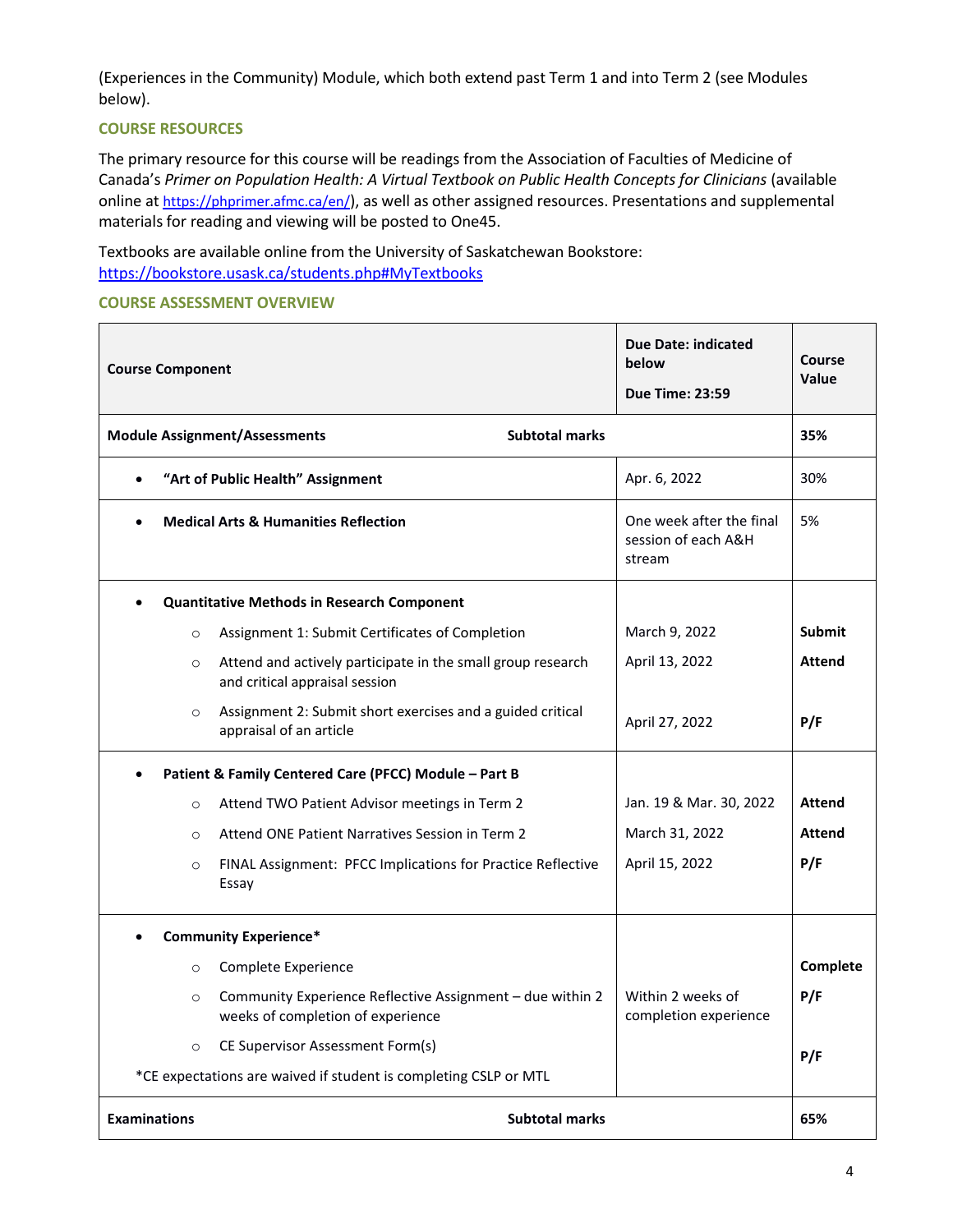(Experiences in the Community) Module, which both extend past Term 1 and into Term 2 (see Modules below).

#### **COURSE RESOURCES**

The primary resource for this course will be readings from the Association of Faculties of Medicine of Canada's Primer on Population Health: A Virtual Textbook on Public Health Concepts for Clinicians (available online at <https://phprimer.afmc.ca/en/>), as well as other assigned resources. Presentations and supplemental materials for reading and viewing will be posted to One45.

Textbooks are available online from the University of Saskatchewan Bookstore: <https://bookstore.usask.ca/students.php#MyTextbooks>

#### **COURSE ASSESSMENT OVERVIEW**

| <b>Course Component</b> |                                                                                                | <b>Due Date: indicated</b><br>below<br><b>Due Time: 23:59</b> | Course<br>Value |
|-------------------------|------------------------------------------------------------------------------------------------|---------------------------------------------------------------|-----------------|
|                         | <b>Subtotal marks</b><br><b>Module Assignment/Assessments</b>                                  |                                                               | 35%             |
|                         | "Art of Public Health" Assignment                                                              | Apr. 6, 2022                                                  | 30%             |
|                         | <b>Medical Arts &amp; Humanities Reflection</b>                                                | One week after the final<br>session of each A&H<br>stream     | 5%              |
|                         | <b>Quantitative Methods in Research Component</b>                                              |                                                               |                 |
| $\circ$                 | Assignment 1: Submit Certificates of Completion                                                | March 9, 2022                                                 | <b>Submit</b>   |
| $\circ$                 | Attend and actively participate in the small group research<br>and critical appraisal session  | April 13, 2022                                                | <b>Attend</b>   |
| $\circ$                 | Assignment 2: Submit short exercises and a guided critical<br>appraisal of an article          | April 27, 2022                                                | P/F             |
|                         | Patient & Family Centered Care (PFCC) Module - Part B                                          |                                                               |                 |
| $\circ$                 | Attend TWO Patient Advisor meetings in Term 2                                                  | Jan. 19 & Mar. 30, 2022                                       | <b>Attend</b>   |
| $\circ$                 | Attend ONE Patient Narratives Session in Term 2                                                | March 31, 2022                                                | <b>Attend</b>   |
| $\circ$                 | FINAL Assignment: PFCC Implications for Practice Reflective<br>Essay                           | April 15, 2022                                                | P/F             |
|                         | <b>Community Experience*</b>                                                                   |                                                               |                 |
| $\circ$                 | Complete Experience                                                                            |                                                               | Complete        |
| $\circ$                 | Community Experience Reflective Assignment - due within 2<br>weeks of completion of experience | Within 2 weeks of<br>completion experience                    | P/F             |
| $\circ$                 | CE Supervisor Assessment Form(s)                                                               |                                                               | P/F             |
|                         | *CE expectations are waived if student is completing CSLP or MTL                               |                                                               |                 |
| <b>Examinations</b>     | <b>Subtotal marks</b>                                                                          |                                                               | 65%             |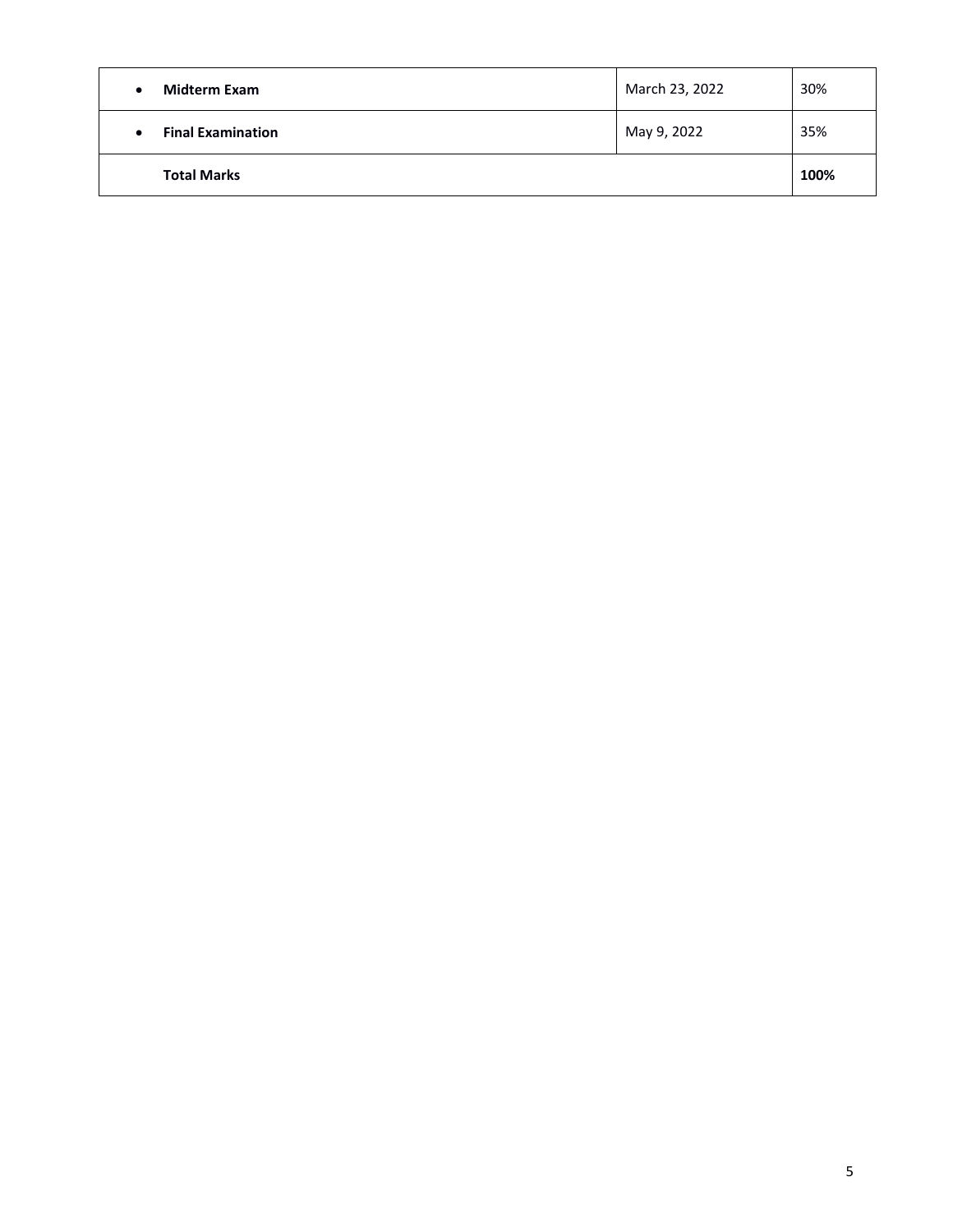| <b>Midterm Exam</b>      | March 23, 2022 | 30%  |
|--------------------------|----------------|------|
| <b>Final Examination</b> | May 9, 2022    | 35%  |
| <b>Total Marks</b>       |                | 100% |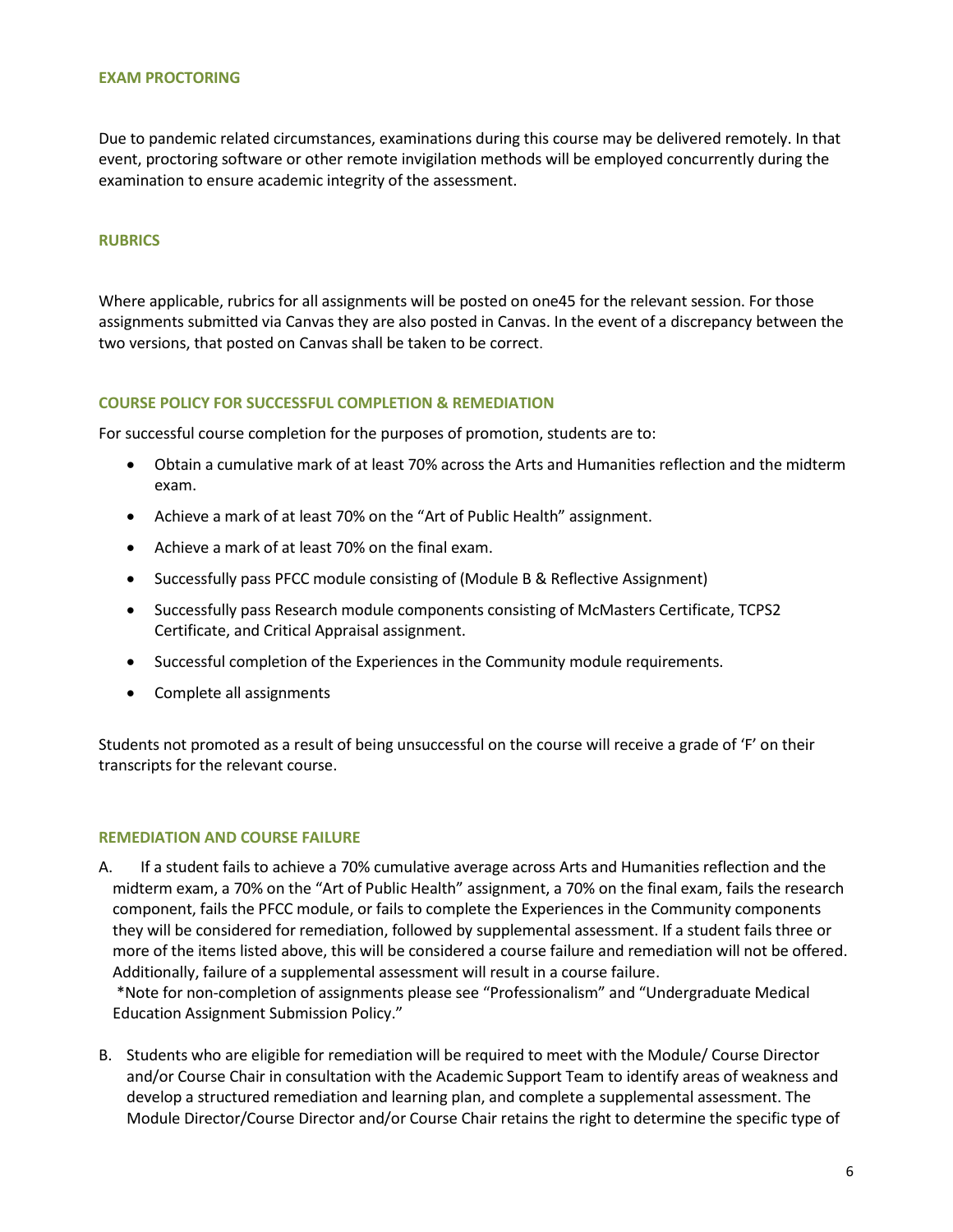#### **EXAM PROCTORING**

Due to pandemic related circumstances, examinations during this course may be delivered remotely. In that event, proctoring software or other remote invigilation methods will be employed concurrently during the examination to ensure academic integrity of the assessment.

#### **RUBRICS**

Where applicable, rubrics for all assignments will be posted on one45 for the relevant session. For those assignments submitted via Canvas they are also posted in Canvas. In the event of a discrepancy between the two versions, that posted on Canvas shall be taken to be correct.

#### **COURSE POLICY FOR SUCCESSFUL COMPLETION & REMEDIATION**

For successful course completion for the purposes of promotion, students are to:

- Obtain a cumulative mark of at least 70% across the Arts and Humanities reflection and the midterm exam.
- Achieve a mark of at least 70% on the "Art of Public Health" assignment.
- Achieve a mark of at least 70% on the final exam.
- Successfully pass PFCC module consisting of (Module B & Reflective Assignment)
- Successfully pass Research module components consisting of McMasters Certificate, TCPS2 Certificate, and Critical Appraisal assignment.
- Successful completion of the Experiences in the Community module requirements.
- Complete all assignments

Students not promoted as a result of being unsuccessful on the course will receive a grade of 'F' on their transcripts for the relevant course.

#### **REMEDIATION AND COURSE FAILURE**

A. If a student fails to achieve a 70% cumulative average across Arts and Humanities reflection and the midterm exam, a 70% on the "Art of Public Health" assignment, a 70% on the final exam, fails the research component, fails the PFCC module, or fails to complete the Experiences in the Community components they will be considered for remediation, followed by supplemental assessment. If a student fails three or more of the items listed above, this will be considered a course failure and remediation will not be offered. Additionally, failure of a supplemental assessment will result in a course failure.

\*Note for non-completion of assignments please see "Professionalism" and "Undergraduate Medical Education Assignment Submission Policy."

B. Students who are eligible for remediation will be required to meet with the Module/ Course Director and/or Course Chair in consultation with the Academic Support Team to identify areas of weakness and develop a structured remediation and learning plan, and complete a supplemental assessment. The Module Director/Course Director and/or Course Chair retains the right to determine the specific type of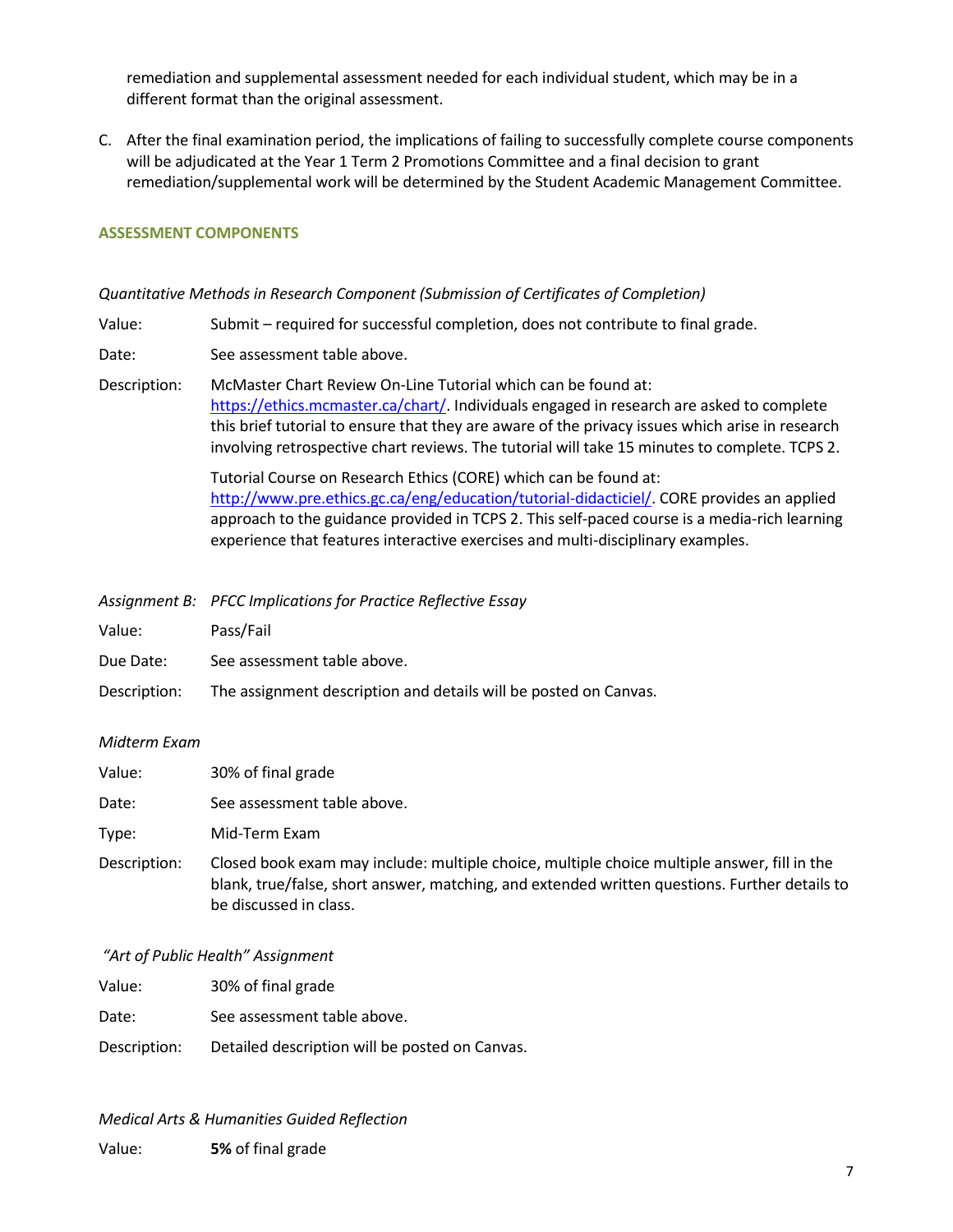remediation and supplemental assessment needed for each individual student, which may be in a different format than the original assessment.

C. After the final examination period, the implications of failing to successfully complete course components will be adjudicated at the Year 1 Term 2 Promotions Committee and a final decision to grant remediation/supplemental work will be determined by the Student Academic Management Committee.

#### **ASSESSMENT COMPONENTS**

#### *Quantitative Methods in Research Component (Submission of Certificates of Completion)*

Value: Submit – required for successful completion, does not contribute to final grade.

Date: See assessment table above.

Description: McMaster Chart Review On-Line Tutorial which can be found at: [https://ethics.mcmaster.ca/chart/.](https://ethics.mcmaster.ca/chart/) Individuals engaged in research are asked to complete this brief tutorial to ensure that they are aware of the privacy issues which arise in research involving retrospective chart reviews. The tutorial will take 15 minutes to complete. TCPS 2.

> Tutorial Course on Research Ethics (CORE) which can be found at: [http://www.pre.ethics.gc.ca/eng/education/tutorial-didacticiel/.](http://www.pre.ethics.gc.ca/eng/education/tutorial-didacticiel/) CORE provides an applied approach to the guidance provided in TCPS 2. This self-paced course is a media-rich learning experience that features interactive exercises and multi-disciplinary examples.

- *Assignment B: PFCC Implications for Practice Reflective Essay*
- Value: Pass/Fail
- Due Date: See assessment table above.
- Description: The assignment description and details will be posted on Canvas.

#### *Midterm Exam*

| Value: | 30% of final grade |
|--------|--------------------|
|--------|--------------------|

Date: See assessment table above.

Type: Mid-Term Exam

Description: Closed book exam may include: multiple choice, multiple choice multiple answer, fill in the blank, true/false, short answer, matching, and extended written questions. Further details to be discussed in class.

#### *"Art of Public Health" Assignment*

Value: 30% of final grade

Date: See assessment table above.

Description: Detailed description will be posted on Canvas.

*Medical Arts & Humanities Guided Reflection*

Value: **5%** of final grade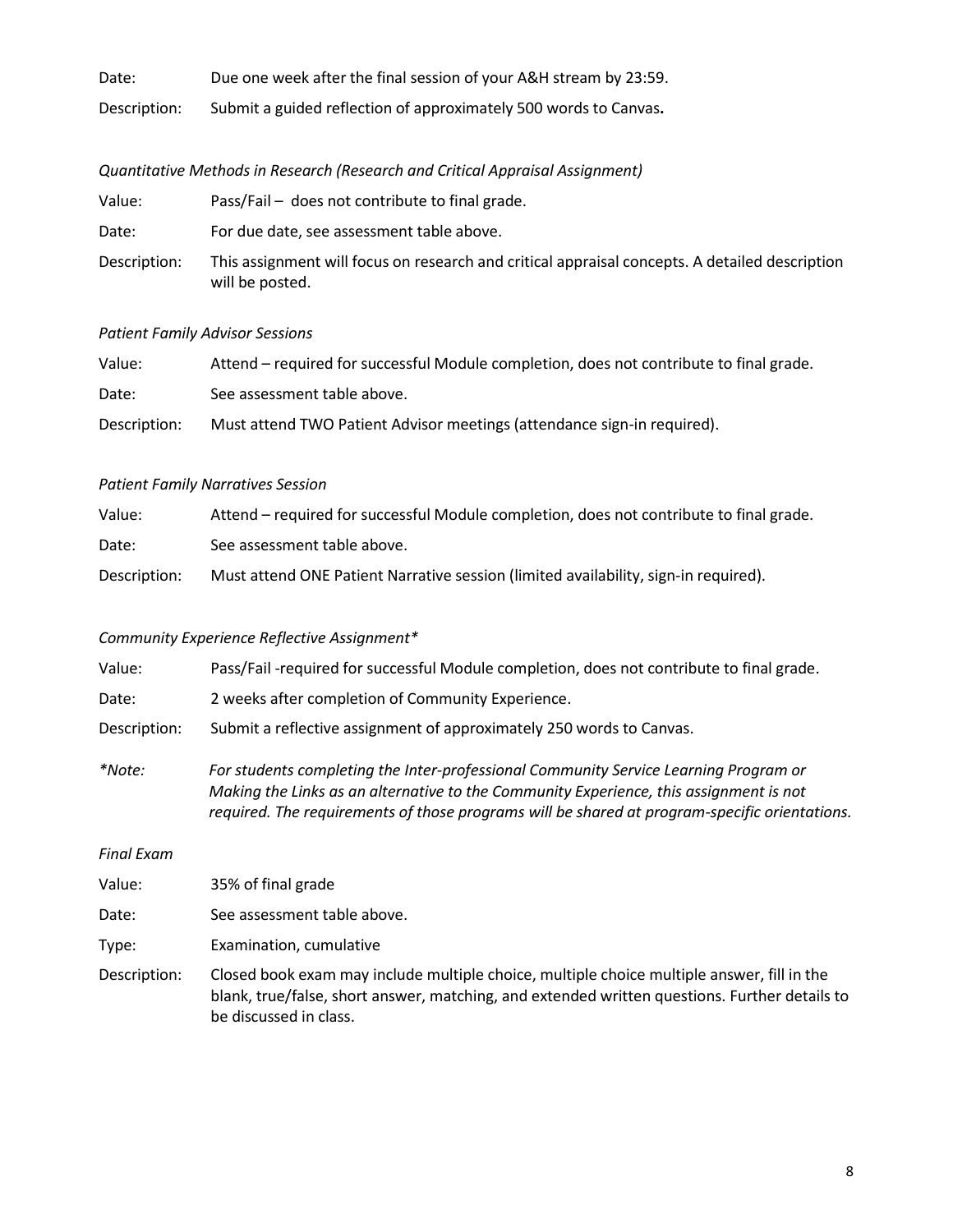| Date:        | Due one week after the final session of your A&H stream by 23:59. |
|--------------|-------------------------------------------------------------------|
| Description: | Submit a guided reflection of approximately 500 words to Canvas.  |

# *Quantitative Methods in Research (Research and Critical Appraisal Assignment)*

| Value:       | Pass/Fail - does not contribute to final grade.                                                                   |
|--------------|-------------------------------------------------------------------------------------------------------------------|
| Date:        | For due date, see assessment table above.                                                                         |
| Description: | This assignment will focus on research and critical appraisal concepts. A detailed description<br>will be posted. |

## *Patient Family Advisor Sessions*

| Value:       | Attend – required for successful Module completion, does not contribute to final grade. |
|--------------|-----------------------------------------------------------------------------------------|
| Date:        | See assessment table above.                                                             |
| Description: | Must attend TWO Patient Advisor meetings (attendance sign-in required).                 |

## *Patient Family Narratives Session*

| Value:       | Attend – required for successful Module completion, does not contribute to final grade. |
|--------------|-----------------------------------------------------------------------------------------|
| Date:        | See assessment table above.                                                             |
| Description: | Must attend ONE Patient Narrative session (limited availability, sign-in required).     |

# *Community Experience Reflective Assignment\**

| Value:            | Pass/Fail-required for successful Module completion, does not contribute to final grade.                                                                                                                                                                                        |
|-------------------|---------------------------------------------------------------------------------------------------------------------------------------------------------------------------------------------------------------------------------------------------------------------------------|
| Date:             | 2 weeks after completion of Community Experience.                                                                                                                                                                                                                               |
| Description:      | Submit a reflective assignment of approximately 250 words to Canvas.                                                                                                                                                                                                            |
| *Note:            | For students completing the Inter-professional Community Service Learning Program or<br>Making the Links as an alternative to the Community Experience, this assignment is not<br>required. The requirements of those programs will be shared at program-specific orientations. |
| <b>Final Exam</b> |                                                                                                                                                                                                                                                                                 |
| Value:            | 35% of final grade                                                                                                                                                                                                                                                              |
| Date:             | See assessment table above.                                                                                                                                                                                                                                                     |

Type: Examination, cumulative

Description: Closed book exam may include multiple choice, multiple choice multiple answer, fill in the blank, true/false, short answer, matching, and extended written questions. Further details to be discussed in class.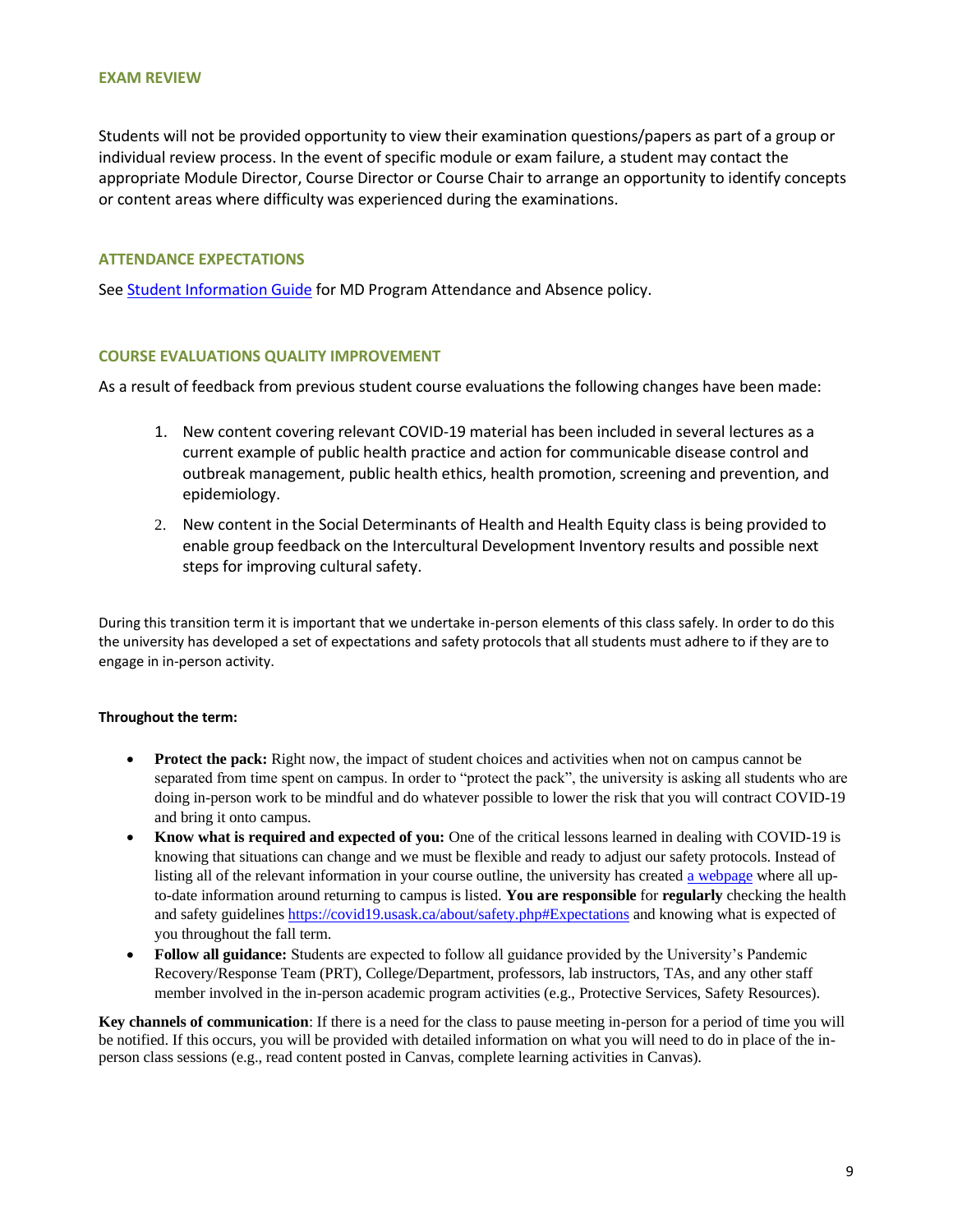Students will not be provided opportunity to view their examination questions/papers as part of a group or individual review process. In the event of specific module or exam failure, a student may contact the appropriate Module Director, Course Director or Course Chair to arrange an opportunity to identify concepts or content areas where difficulty was experienced during the examinations.

#### **ATTENDANCE EXPECTATIONS**

Se[e Student Information Guide](https://medicine.usask.ca/students/undergraduate/curriculum-schedules-objectives.php#StudentInformationGuideSyllabi) for MD Program Attendance and Absence policy.

#### **COURSE EVALUATIONS QUALITY IMPROVEMENT**

As a result of feedback from previous student course evaluations the following changes have been made:

- 1. New content covering relevant COVID-19 material has been included in several lectures as a current example of public health practice and action for communicable disease control and outbreak management, public health ethics, health promotion, screening and prevention, and epidemiology.
- 2. New content in the Social Determinants of Health and Health Equity class is being provided to enable group feedback on the Intercultural Development Inventory results and possible next steps for improving cultural safety.

During this transition term it is important that we undertake in-person elements of this class safely. In order to do this the university has developed a set of expectations and safety protocols that all students must adhere to if they are to engage in in-person activity.

#### **Throughout the term:**

- **Protect the pack:** Right now, the impact of student choices and activities when not on campus cannot be separated from time spent on campus. In order to "protect the pack", the university is asking all students who are doing in-person work to be mindful and do whatever possible to lower the risk that you will contract COVID-19 and bring it onto campus.
- **Know what is required and expected of you:** One of the critical lessons learned in dealing with COVID-19 is knowing that situations can change and we must be flexible and ready to adjust our safety protocols. Instead of listing all of the relevant information in your course outline, the university has create[d a webpage](https://covid19.usask.ca/students.php) where all upto-date information around returning to campus is listed. **You are responsible** for **regularly** checking the health and safety guidelines [https://covid19.usask.ca/about/safety.php#Expectations](https://covid19.usask.ca/about/safety.php) and knowing what is expected of you throughout the fall term.
- **Follow all guidance:** Students are expected to follow all guidance provided by the University's Pandemic Recovery/Response Team (PRT), College/Department, professors, lab instructors, TAs, and any other staff member involved in the in-person academic program activities (e.g., Protective Services, Safety Resources).

**Key channels of communication**: If there is a need for the class to pause meeting in-person for a period of time you will be notified. If this occurs, you will be provided with detailed information on what you will need to do in place of the inperson class sessions (e.g., read content posted in Canvas, complete learning activities in Canvas).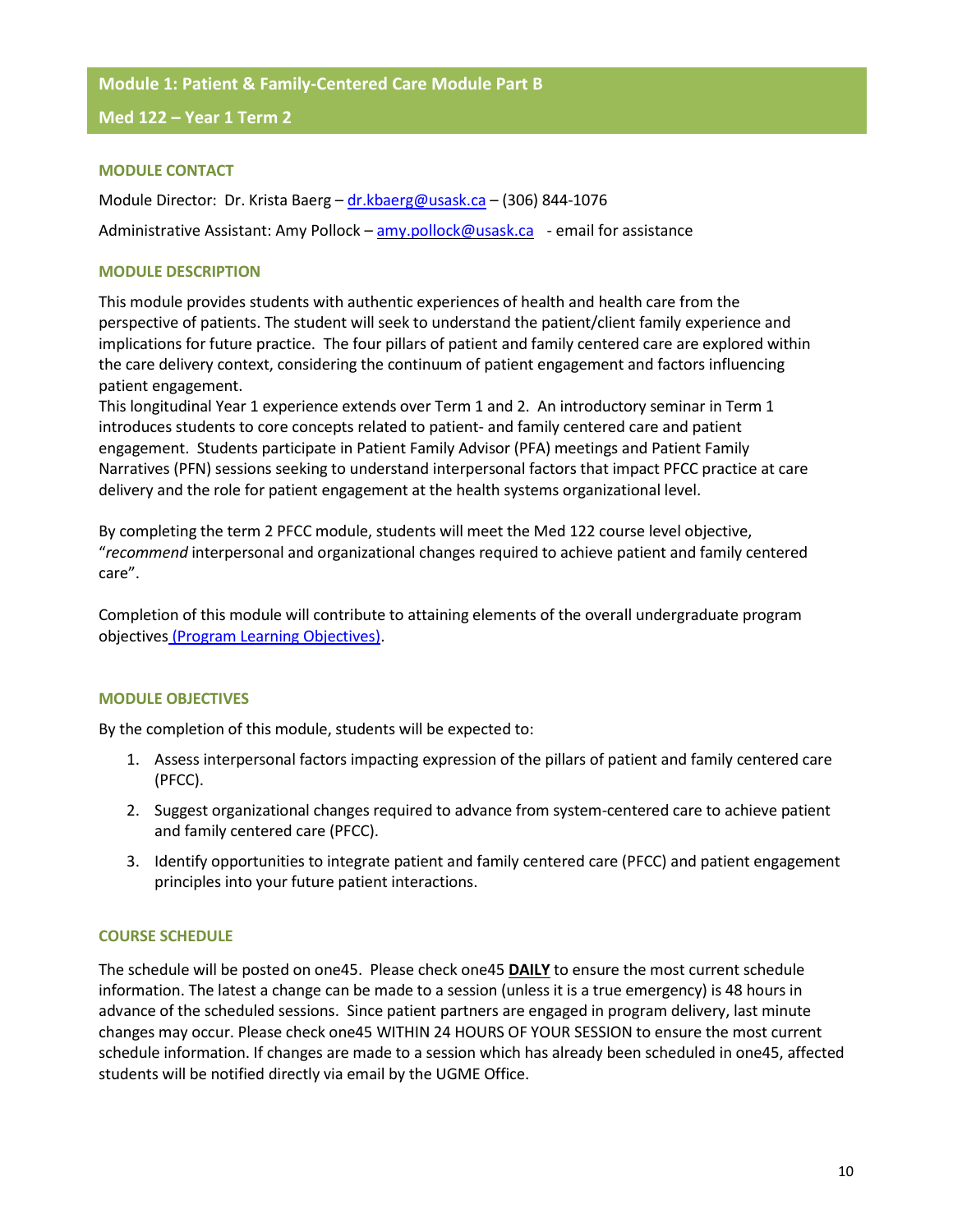#### **Module 1: Patient & Family-Centered Care Module Part B**

**Med 122 – Year 1 Term 2**

#### **MODULE CONTACT**

Module Director: Dr. Krista Baerg – dr.kbaerg@usask.ca – (306) 844-1076 Administrative Assistant: Amy Pollock – [amy.pollock@usask.ca](mailto:amy.pollock@usask.ca) - email for assistance

## **MODULE DESCRIPTION**

This module provides students with authentic experiences of health and health care from the perspective of patients. The student will seek to understand the patient/client family experience and implications for future practice. The four pillars of patient and family centered care are explored within the care delivery context, considering the continuum of patient engagement and factors influencing patient engagement.

This longitudinal Year 1 experience extends over Term 1 and 2. An introductory seminar in Term 1 introduces students to core concepts related to patient- and family centered care and patient engagement. Students participate in Patient Family Advisor (PFA) meetings and Patient Family Narratives (PFN) sessions seeking to understand interpersonal factors that impact PFCC practice at care delivery and the role for patient engagement at the health systems organizational level.

By completing the term 2 PFCC module, students will meet the Med 122 course level objective, "*recommend* interpersonal and organizational changes required to achieve patient and family centered care".

Completion of this module will contribute to attaining elements of the overall undergraduate program objectives [\(Program Learning Objectives\)](https://medicine.usask.ca/students/undergraduate/curriculum-schedules-objectives.php#ProgramLearningObjectives).

## **MODULE OBJECTIVES**

By the completion of this module, students will be expected to:

- 1. Assess interpersonal factors impacting expression of the pillars of patient and family centered care (PFCC).
- 2. Suggest organizational changes required to advance from system-centered care to achieve patient and family centered care (PFCC).
- 3. Identify opportunities to integrate patient and family centered care (PFCC) and patient engagement principles into your future patient interactions.

# **COURSE SCHEDULE**

The schedule will be posted on one45. Please check one45 **DAILY** to ensure the most current schedule information. The latest a change can be made to a session (unless it is a true emergency) is 48 hours in advance of the scheduled sessions. Since patient partners are engaged in program delivery, last minute changes may occur. Please check one45 WITHIN 24 HOURS OF YOUR SESSION to ensure the most current schedule information. If changes are made to a session which has already been scheduled in one45, affected students will be notified directly via email by the UGME Office.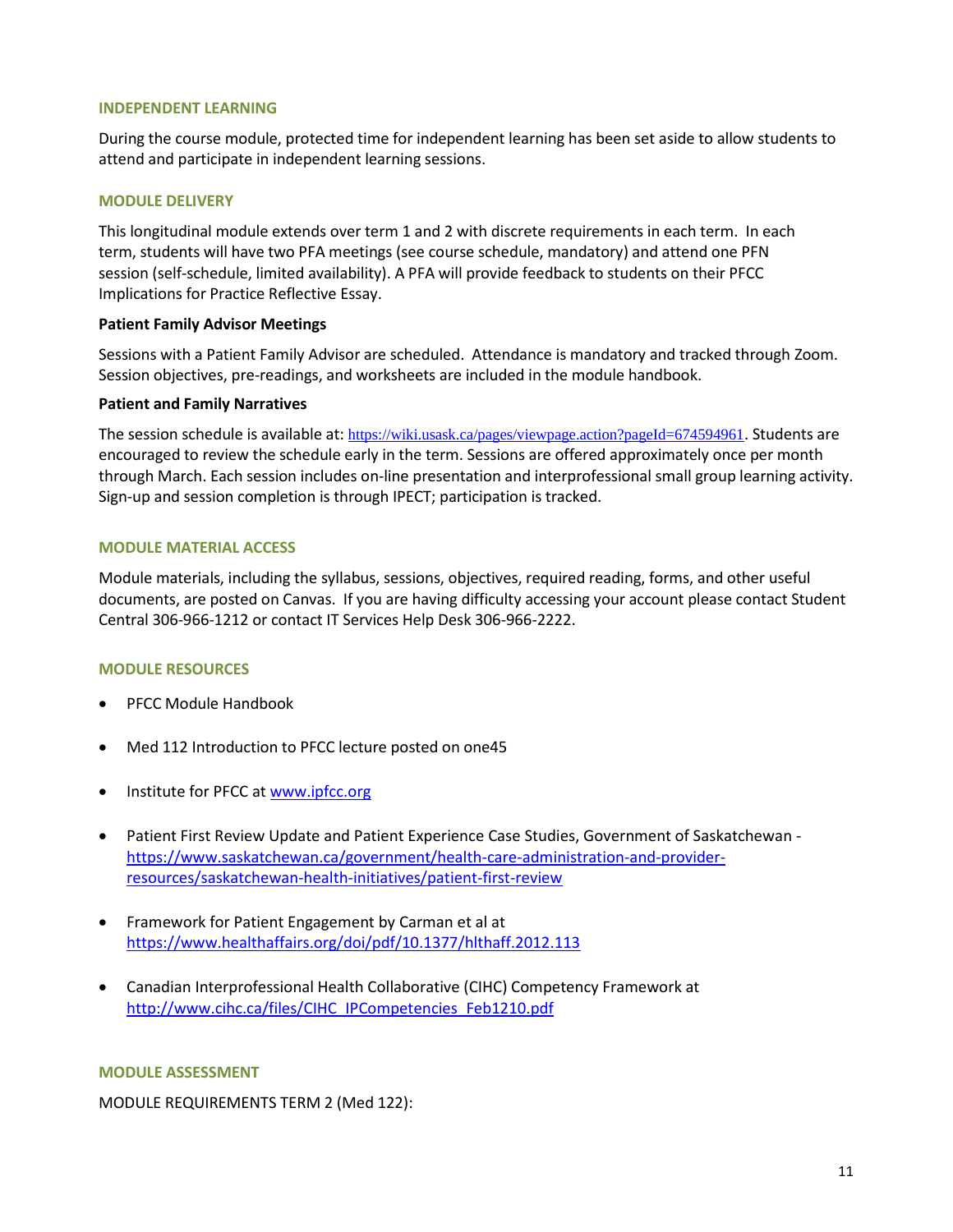#### **INDEPENDENT LEARNING**

During the course module, protected time for independent learning has been set aside to allow students to attend and participate in independent learning sessions.

## **MODULE DELIVERY**

This longitudinal module extends over term 1 and 2 with discrete requirements in each term. In each term, students will have two PFA meetings (see course schedule, mandatory) and attend one PFN session (self-schedule, limited availability). A PFA will provide feedback to students on their PFCC Implications for Practice Reflective Essay.

#### **Patient Family Advisor Meetings**

Sessions with a Patient Family Advisor are scheduled. Attendance is mandatory and tracked through Zoom. Session objectives, pre-readings, and worksheets are included in the module handbook.

#### **Patient and Family Narratives**

The session schedule is available at: <https://wiki.usask.ca/pages/viewpage.action?pageId=674594961>. Students are encouraged to review the schedule early in the term. Sessions are offered approximately once per month through March. Each session includes on-line presentation and interprofessional small group learning activity. Sign-up and session completion is through IPECT; participation is tracked.

## **MODULE MATERIAL ACCESS**

Module materials, including the syllabus, sessions, objectives, required reading, forms, and other useful documents, are posted on Canvas. If you are having difficulty accessing your account please contact Student Central 306-966-1212 or contact IT Services Help Desk 306-966-2222.

## **MODULE RESOURCES**

- PFCC Module Handbook
- Med 112 Introduction to PFCC lecture posted on one45
- Institute for PFCC at [www.ipfcc.org](http://www.ipfcc.org/)
- Patient First Review Update and Patient Experience Case Studies, Government of Saskatchewan [https://www.saskatchewan.ca/government/health-care-administration-and-provider](https://www.saskatchewan.ca/government/health-care-administration-and-provider-resources/saskatchewan-health-initiatives/patient-first-review)[resources/saskatchewan-health-initiatives/patient-first-review](https://www.saskatchewan.ca/government/health-care-administration-and-provider-resources/saskatchewan-health-initiatives/patient-first-review)
- Framework for Patient Engagement by Carman et al at <https://www.healthaffairs.org/doi/pdf/10.1377/hlthaff.2012.113>
- Canadian Interprofessional Health Collaborative (CIHC) Competency Framework at http://www.cihc.ca/files/CIHC\_IPCompetencies\_Feb1210.pdf

#### **MODULE ASSESSMENT**

MODULE REQUIREMENTS TERM 2 (Med 122):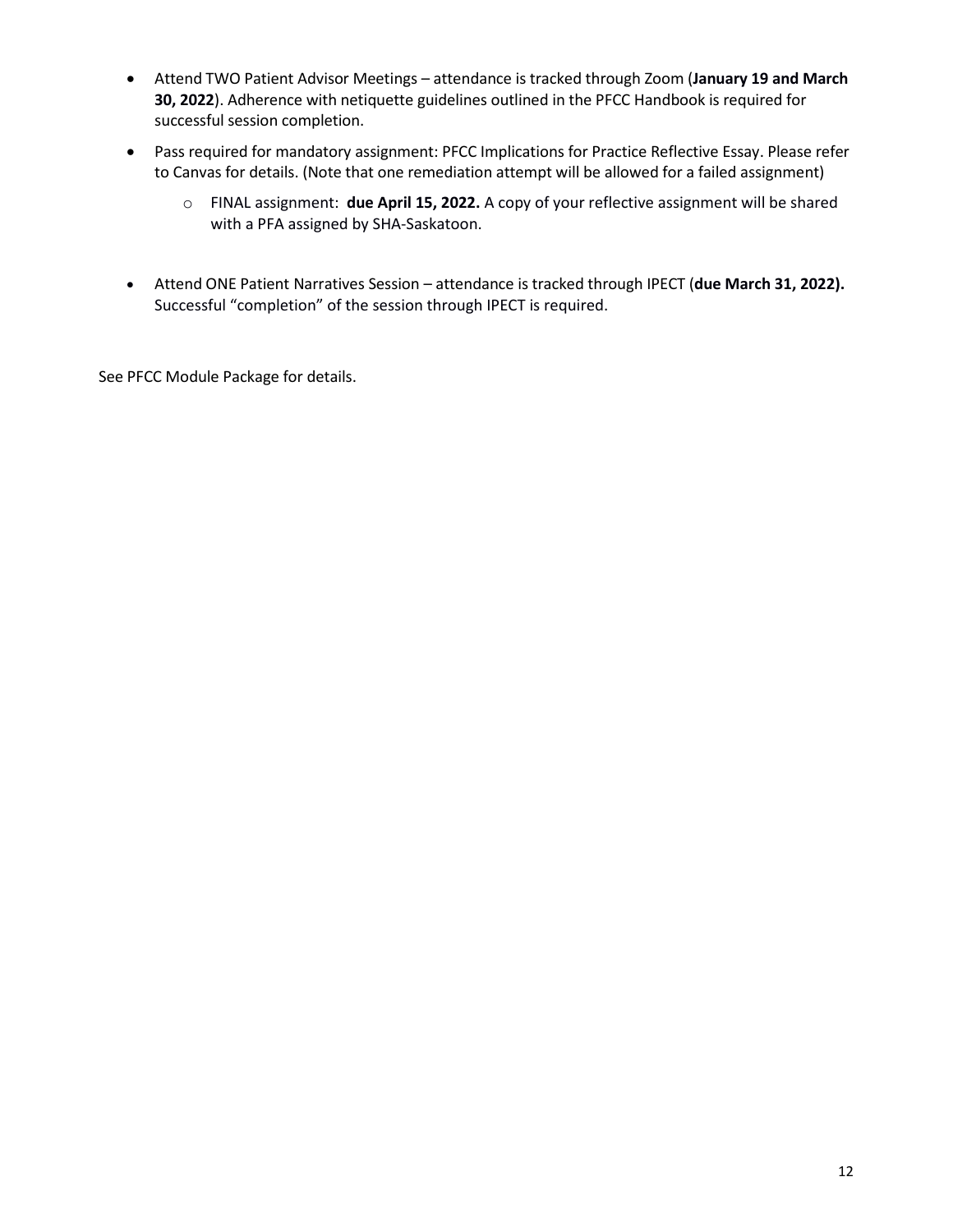- Attend TWO Patient Advisor Meetings attendance is tracked through Zoom (**January 19 and March 30, 2022**). Adherence with netiquette guidelines outlined in the PFCC Handbook is required for successful session completion.
- Pass required for mandatory assignment: PFCC Implications for Practice Reflective Essay. Please refer to Canvas for details. (Note that one remediation attempt will be allowed for a failed assignment)
	- o FINAL assignment: **due April 15, 2022.** A copy of your reflective assignment will be shared with a PFA assigned by SHA-Saskatoon.
- Attend ONE Patient Narratives Session attendance is tracked through IPECT (**due March 31, 2022).** Successful "completion" of the session through IPECT is required.

See PFCC Module Package for details.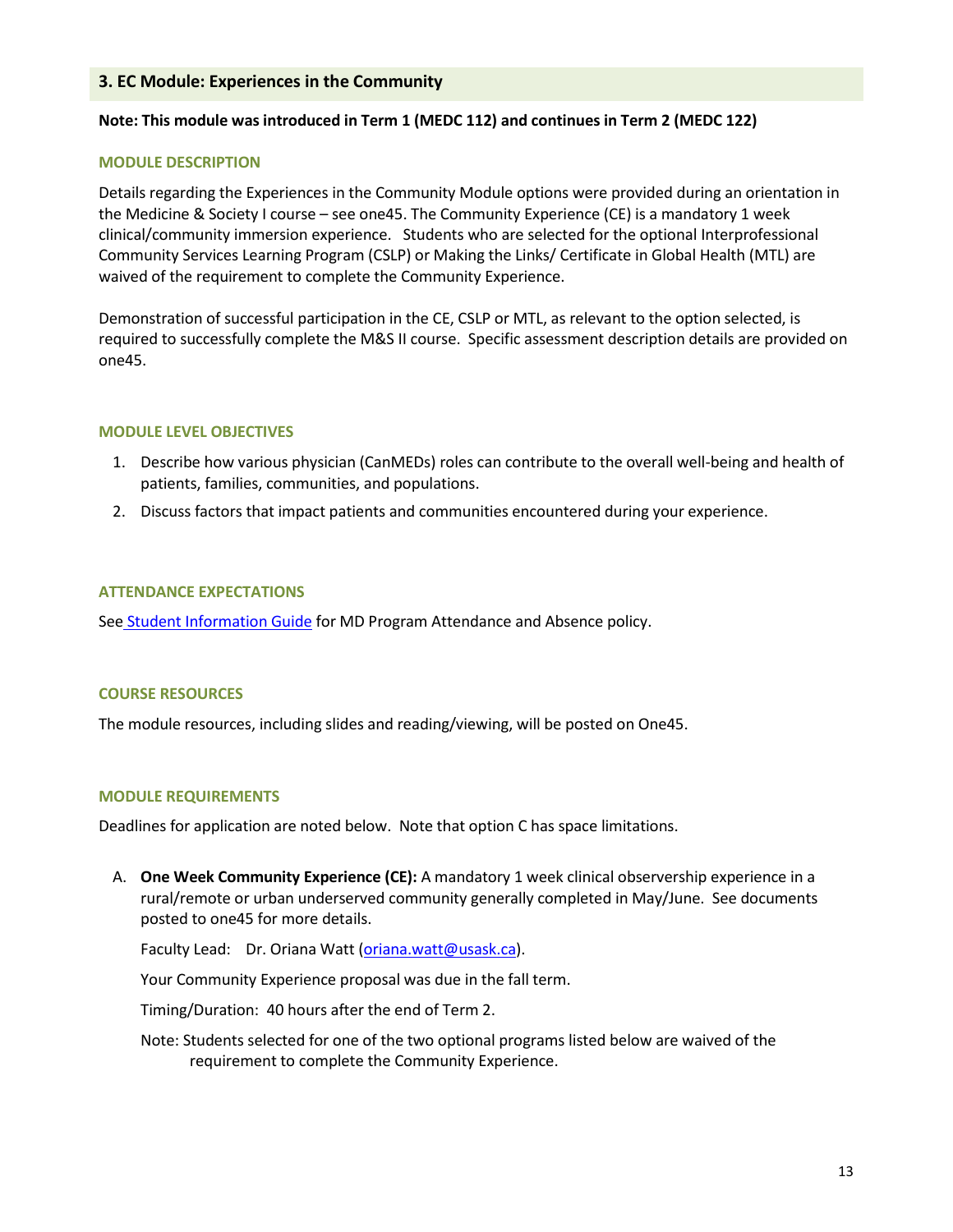# **3. EC Module: Experiences in the Community**

## **Note: This module was introduced in Term 1 (MEDC 112) and continues in Term 2 (MEDC 122)**

#### **MODULE DESCRIPTION**

Details regarding the Experiences in the Community Module options were provided during an orientation in the Medicine & Society I course – see one45. The Community Experience (CE) is a mandatory 1 week clinical/community immersion experience. Students who are selected for the optional Interprofessional Community Services Learning Program (CSLP) or Making the Links/ Certificate in Global Health (MTL) are waived of the requirement to complete the Community Experience.

Demonstration of successful participation in the CE, CSLP or MTL, as relevant to the option selected, is required to successfully complete the M&S II course. Specific assessment description details are provided on one45.

#### **MODULE LEVEL OBJECTIVES**

- 1. Describe how various physician (CanMEDs) roles can contribute to the overall well-being and health of patients, families, communities, and populations.
- 2. Discuss factors that impact patients and communities encountered during your experience.

#### **ATTENDANCE EXPECTATIONS**

See [Student Information Guide](https://medicine.usask.ca/students/undergraduate/curriculum-schedules-objectives.php#StudentInformationGuideSyllabi) for MD Program Attendance and Absence policy.

#### **COURSE RESOURCES**

The module resources, including slides and reading/viewing, will be posted on One45.

#### **MODULE REQUIREMENTS**

Deadlines for application are noted below. Note that option C has space limitations.

A. **One Week Community Experience (CE):** A mandatory 1 week clinical observership experience in a rural/remote or urban underserved community generally completed in May/June. See documents posted to one45 for more details.

Faculty Lead: Dr. Oriana Watt [\(oriana.watt@usask.ca\)](mailto:oriana.watt@usask.ca).

Your Community Experience proposal was due in the fall term.

Timing/Duration: 40 hours after the end of Term 2.

Note: Students selected for one of the two optional programs listed below are waived of the requirement to complete the Community Experience.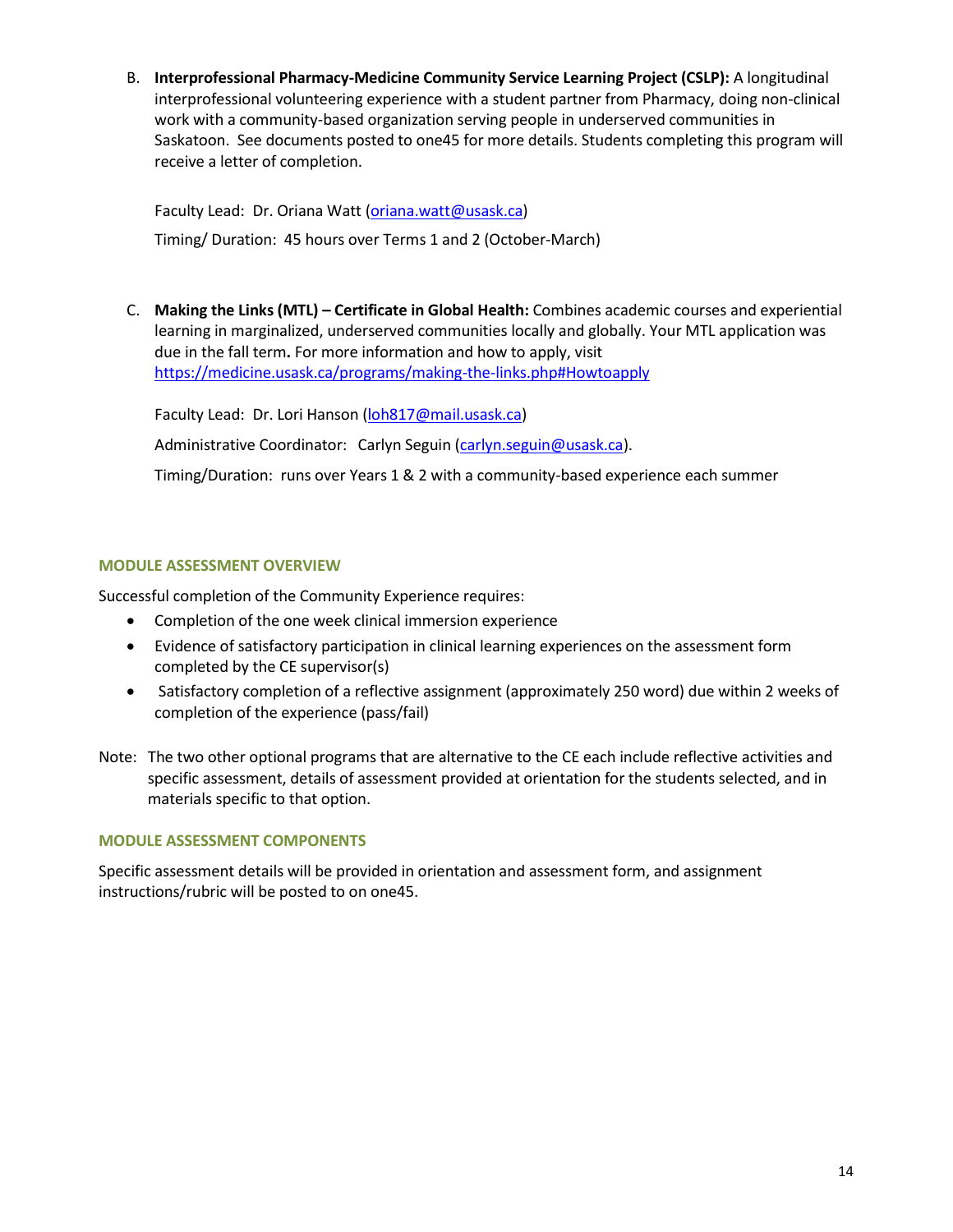B. **Interprofessional Pharmacy-Medicine Community Service Learning Project (CSLP):** A longitudinal interprofessional volunteering experience with a student partner from Pharmacy, doing non-clinical work with a community-based organization serving people in underserved communities in Saskatoon. See documents posted to one45 for more details. Students completing this program will receive a letter of completion.

Faculty Lead: Dr. Oriana Watt [\(oriana.watt@usask.ca\)](mailto:oriana.watt@usask.ca) Timing/ Duration: 45 hours over Terms 1 and 2 (October-March)

C. **Making the Links (MTL) – Certificate in Global Health:** Combines academic courses and experiential learning in marginalized, underserved communities locally and globally. Your MTL application was due in the fall term**.** For more information and how to apply, visit <https://medicine.usask.ca/programs/making-the-links.php#Howtoapply>

Faculty Lead: Dr. Lori Hanson [\(loh817@mail.usask.ca\)](mailto:loh817@mail.usask.ca) Administrative Coordinator: Carlyn Seguin [\(carlyn.seguin@usask.ca\)](mailto:carlyn.seguin@usask.ca).

Timing/Duration: runs over Years 1 & 2 with a community-based experience each summer

# **MODULE ASSESSMENT OVERVIEW**

Successful completion of the Community Experience requires:

- Completion of the one week clinical immersion experience
- Evidence of satisfactory participation in clinical learning experiences on the assessment form completed by the CE supervisor(s)
- Satisfactory completion of a reflective assignment (approximately 250 word) due within 2 weeks of completion of the experience (pass/fail)
- Note: The two other optional programs that are alternative to the CE each include reflective activities and specific assessment, details of assessment provided at orientation for the students selected, and in materials specific to that option.

## **MODULE ASSESSMENT COMPONENTS**

Specific assessment details will be provided in orientation and assessment form, and assignment instructions/rubric will be posted to on one45.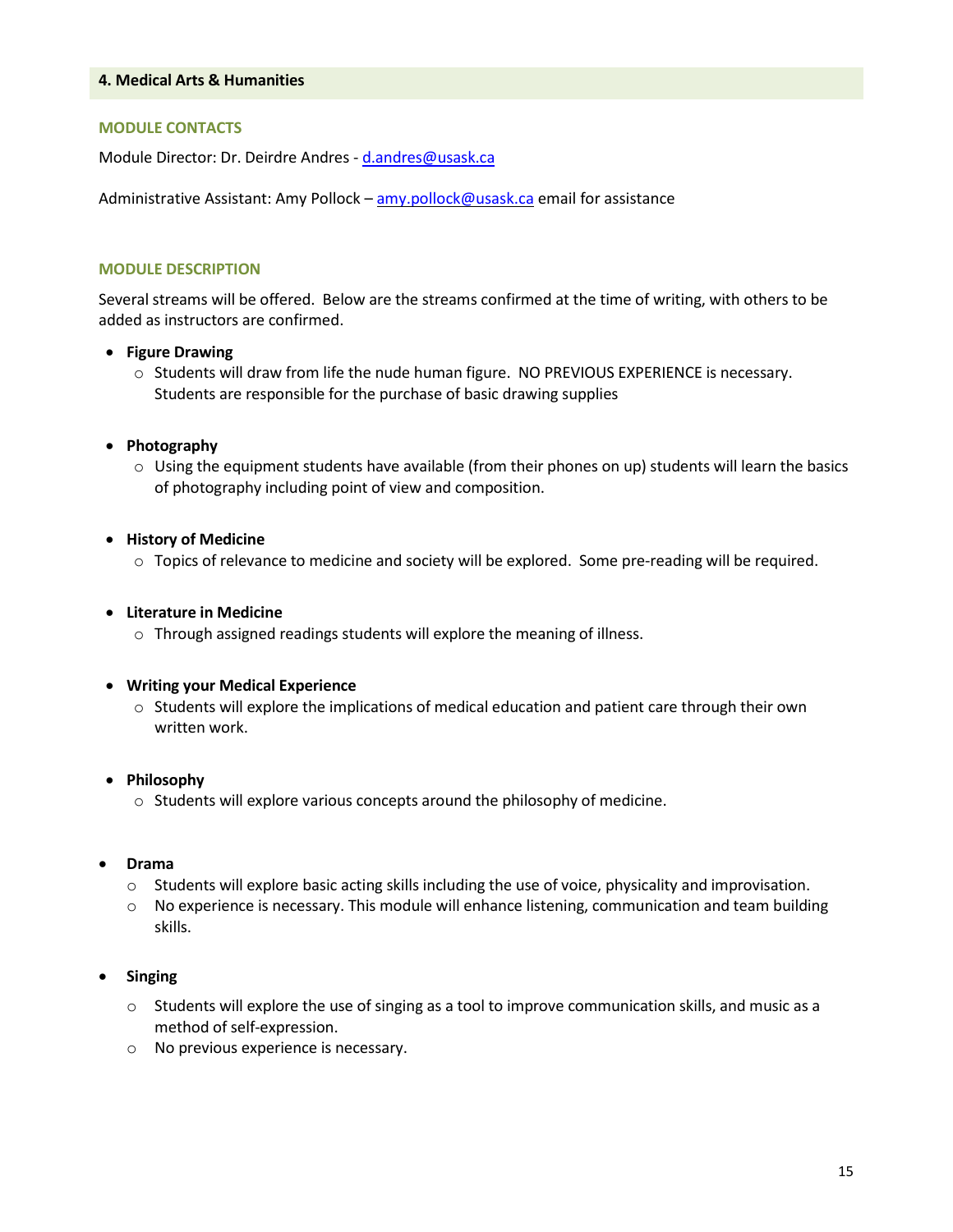#### **4. Medical Arts & Humanities**

#### **MODULE CONTACTS**

Module Director: Dr. Deirdre Andres - [d.andres@usask.ca](mailto:d.andres@usask.ca)

Administrative Assistant: Amy Pollock – [amy.pollock@usask.ca](mailto:amy.pollock@usask.ca) email for assistance

#### **MODULE DESCRIPTION**

Several streams will be offered. Below are the streams confirmed at the time of writing, with others to be added as instructors are confirmed.

#### • **Figure Drawing**

o Students will draw from life the nude human figure. NO PREVIOUS EXPERIENCE is necessary. Students are responsible for the purchase of basic drawing supplies

#### • **Photography**

 $\circ$  Using the equipment students have available (from their phones on up) students will learn the basics of photography including point of view and composition.

#### • **History of Medicine**

o Topics of relevance to medicine and society will be explored. Some pre-reading will be required.

#### • **Literature in Medicine**

o Through assigned readings students will explore the meaning of illness.

#### • **Writing your Medical Experience**

 $\circ$  Students will explore the implications of medical education and patient care through their own written work.

## • **Philosophy**

o Students will explore various concepts around the philosophy of medicine.

#### • **Drama**

- $\circ$  Students will explore basic acting skills including the use of voice, physicality and improvisation.
- $\circ$  No experience is necessary. This module will enhance listening, communication and team building skills.

## • **Singing**

- $\circ$  Students will explore the use of singing as a tool to improve communication skills, and music as a method of self-expression.
- o No previous experience is necessary.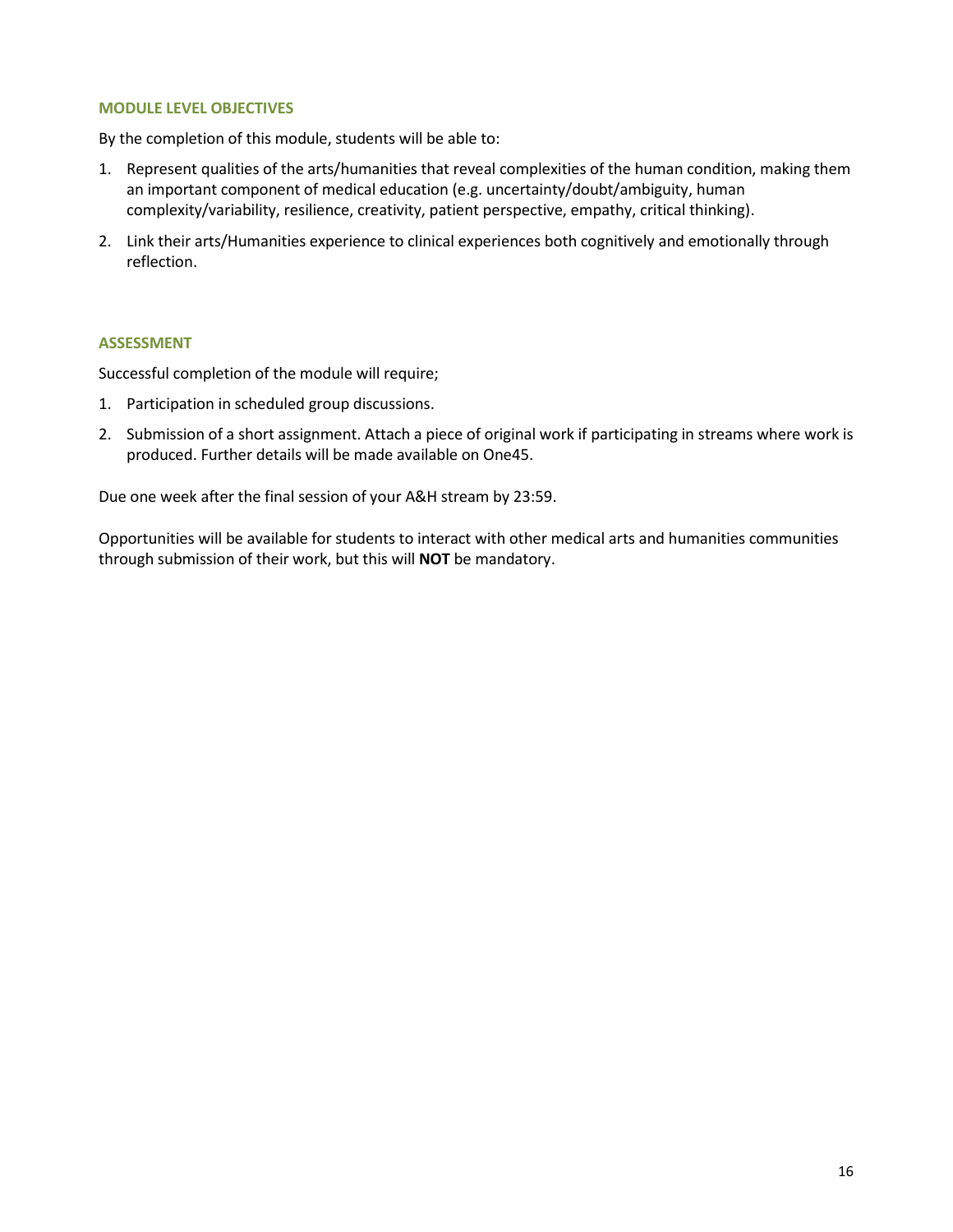## **MODULE LEVEL OBJECTIVES**

By the completion of this module, students will be able to:

- 1. Represent qualities of the arts/humanities that reveal complexities of the human condition, making them an important component of medical education (e.g. uncertainty/doubt/ambiguity, human complexity/variability, resilience, creativity, patient perspective, empathy, critical thinking).
- 2. Link their arts/Humanities experience to clinical experiences both cognitively and emotionally through reflection.

## **ASSESSMENT**

Successful completion of the module will require;

- 1. Participation in scheduled group discussions.
- 2. Submission of a short assignment. Attach a piece of original work if participating in streams where work is produced. Further details will be made available on One45.

Due one week after the final session of your A&H stream by 23:59.

Opportunities will be available for students to interact with other medical arts and humanities communities through submission of their work, but this will **NOT** be mandatory.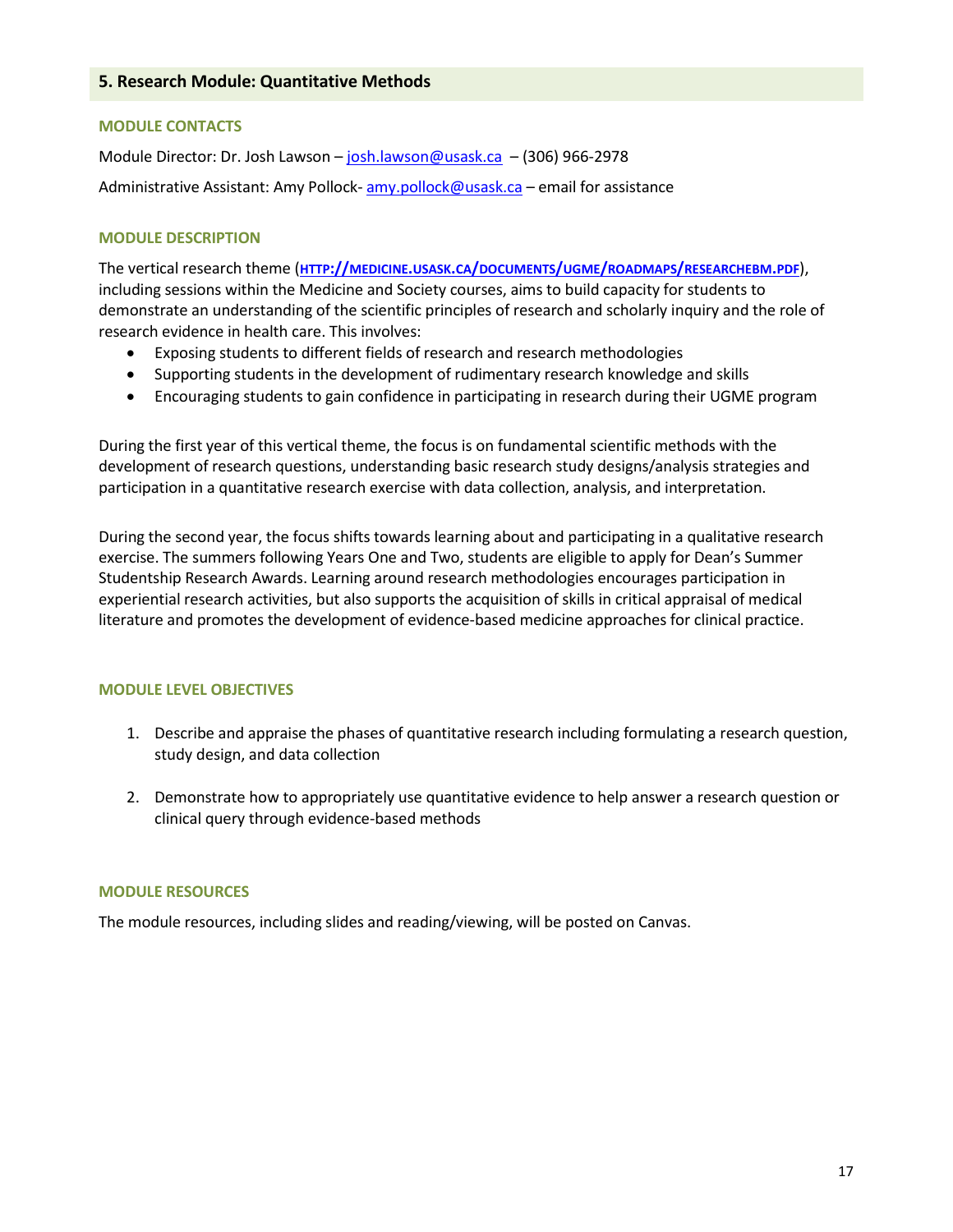#### **MODULE CONTACTS**

Module Director: Dr. Josh Lawson – [josh.lawson@usask.ca](mailto:josh.lawson@usask.ca) – (306) 966-2978 Administrative Assistant: Amy Pollock- [amy.pollock@usask.ca](mailto:amy.pollock@usask.ca) – email for assistance

#### **MODULE DESCRIPTION**

The vertical research theme (**HTTP://MEDICINE.USASK.CA/DOCUMENTS/UGME/ROADMAPS/[RESEARCHEBM](http://medicine.usask.ca/documents/ugme/roadmaps/ResearchEBM.pdf).PDF**), including sessions within the Medicine and Society courses, aims to build capacity for students to demonstrate an understanding of the scientific principles of research and scholarly inquiry and the role of research evidence in health care. This involves:

- Exposing students to different fields of research and research methodologies
- Supporting students in the development of rudimentary research knowledge and skills
- Encouraging students to gain confidence in participating in research during their UGME program

During the first year of this vertical theme, the focus is on fundamental scientific methods with the development of research questions, understanding basic research study designs/analysis strategies and participation in a quantitative research exercise with data collection, analysis, and interpretation.

During the second year, the focus shifts towards learning about and participating in a qualitative research exercise. The summers following Years One and Two, students are eligible to apply for Dean's Summer Studentship Research Awards. Learning around research methodologies encourages participation in experiential research activities, but also supports the acquisition of skills in critical appraisal of medical literature and promotes the development of evidence-based medicine approaches for clinical practice.

## **MODULE LEVEL OBJECTIVES**

- 1. Describe and appraise the phases of quantitative research including formulating a research question, study design, and data collection
- 2. Demonstrate how to appropriately use quantitative evidence to help answer a research question or clinical query through evidence-based methods

#### **MODULE RESOURCES**

The module resources, including slides and reading/viewing, will be posted on Canvas.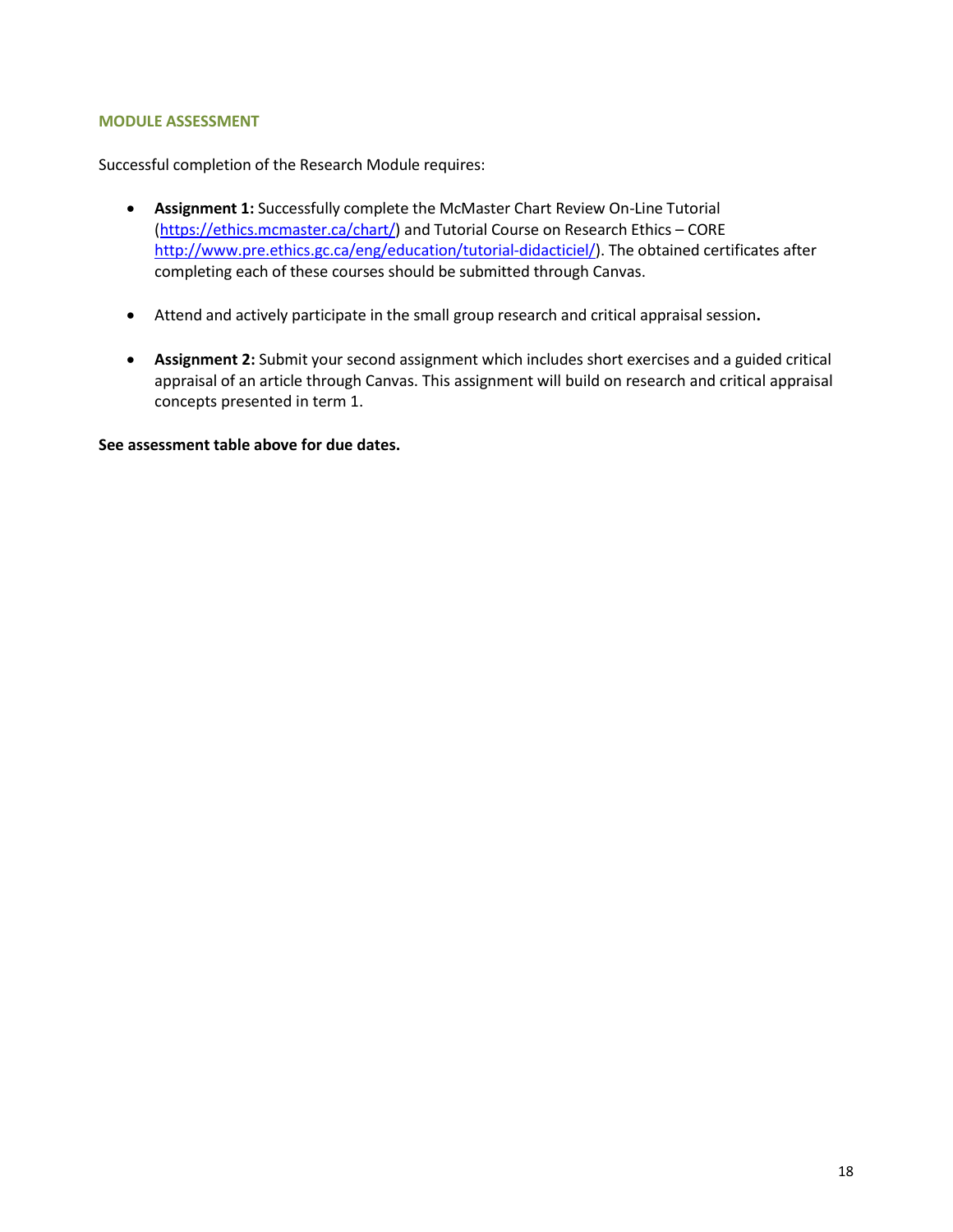#### **MODULE ASSESSMENT**

Successful completion of the Research Module requires:

- **Assignment 1:** Successfully complete the McMaster Chart Review On-Line Tutorial [\(https://ethics.mcmaster.ca/chart/\)](https://ethics.mcmaster.ca/chart/) and Tutorial Course on Research Ethics – CORE [http://www.pre.ethics.gc.ca/eng/education/tutorial-didacticiel/\)](http://www.pre.ethics.gc.ca/eng/education/tutorial-didacticiel/). The obtained certificates after completing each of these courses should be submitted through Canvas.
- Attend and actively participate in the small group research and critical appraisal session**.**
- **Assignment 2:** Submit your second assignment which includes short exercises and a guided critical appraisal of an article through Canvas. This assignment will build on research and critical appraisal concepts presented in term 1.

**See assessment table above for due dates.**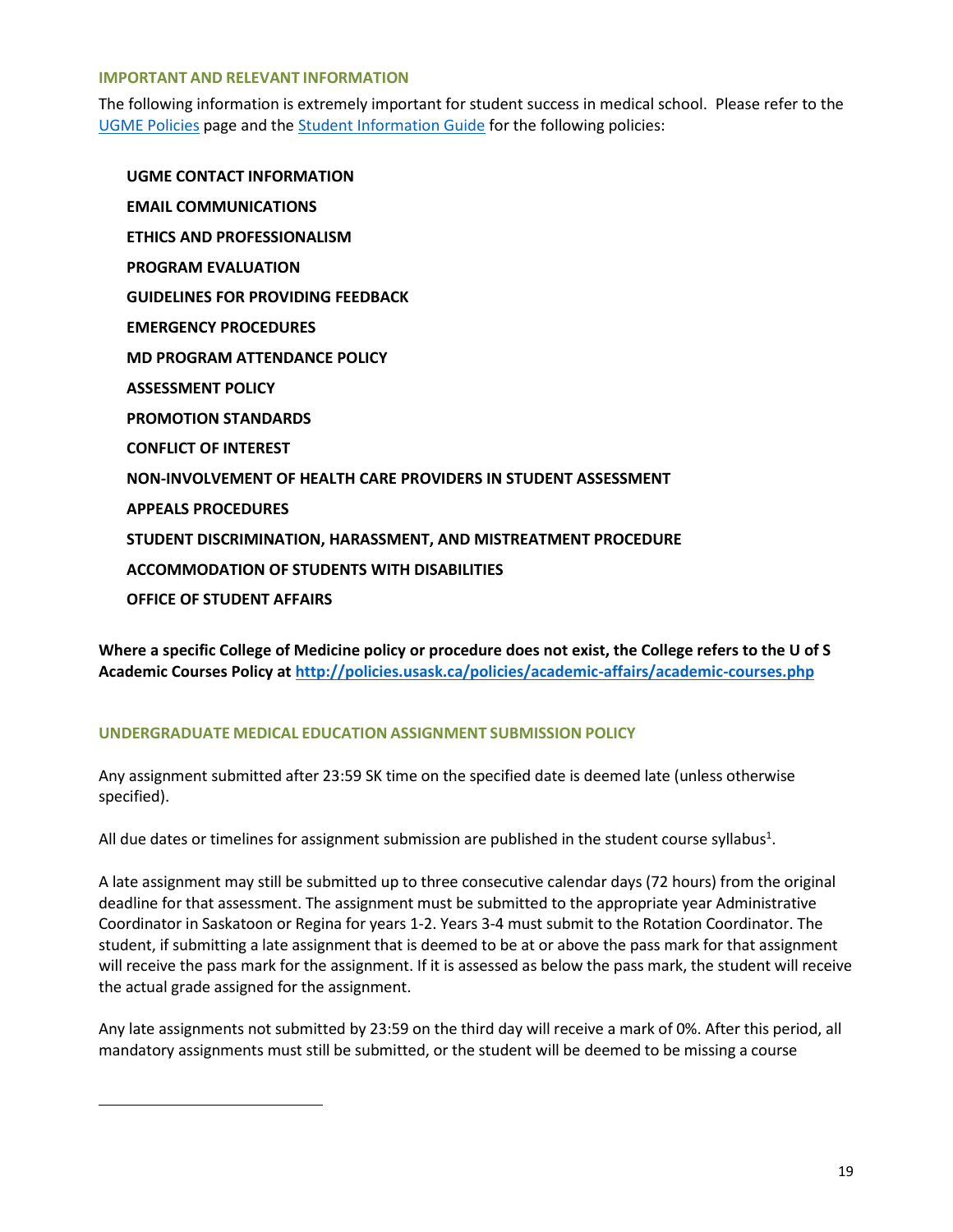#### **IMPORTANT AND RELEVANT INFORMATION**

The following information is extremely important for student success in medical school. Please refer to the [UGME Policies](http://medicine.usask.ca/students/undergraduate/policies.php) page and th[e Student Information Guide](https://medicine.usask.ca/students/undergraduate/curriculum-schedules-objectives.php#StudentInformationGuideSyllabi) for the following policies:

**UGME CONTACT INFORMATION EMAIL COMMUNICATIONS ETHICS AND PROFESSIONALISM PROGRAM EVALUATION GUIDELINES FOR PROVIDING FEEDBACK\ EMERGENCY PROCEDURES MD PROGRAM ATTENDANCE POLICY ASSESSMENT POLICY PROMOTION STANDARDS CONFLICT OF INTEREST NON-INVOLVEMENT OF HEALTH CARE PROVIDERS IN STUDENT ASSESSMENT APPEALS PROCEDURES STUDENT DISCRIMINATION, HARASSMENT, AND MISTREATMENT PROCEDURE ACCOMMODATION OF STUDENTS WITH DISABILITIES OFFICE OF STUDENT AFFAIRS**

**Where a specific College of Medicine policy or procedure does not exist, the College refers to the U of S Academic Courses Policy at<http://policies.usask.ca/policies/academic-affairs/academic-courses.php>**

# **UNDERGRADUATE MEDICAL EDUCATION ASSIGNMENT SUBMISSION POLICY**

Any assignment submitted after 23:59 SK time on the specified date is deemed late (unless otherwise specified).

All due dates or timelines for assignment submission are published in the student course syllabus<sup>1</sup>.

A late assignment may still be submitted up to three consecutive calendar days (72 hours) from the original deadline for that assessment. The assignment must be submitted to the appropriate year Administrative Coordinator in Saskatoon or Regina for years 1-2. Years 3-4 must submit to the Rotation Coordinator. The student, if submitting a late assignment that is deemed to be at or above the pass mark for that assignment will receive the pass mark for the assignment. If it is assessed as below the pass mark, the student will receive the actual grade assigned for the assignment.

Any late assignments not submitted by 23:59 on the third day will receive a mark of 0%. After this period, all mandatory assignments must still be submitted, or the student will be deemed to be missing a course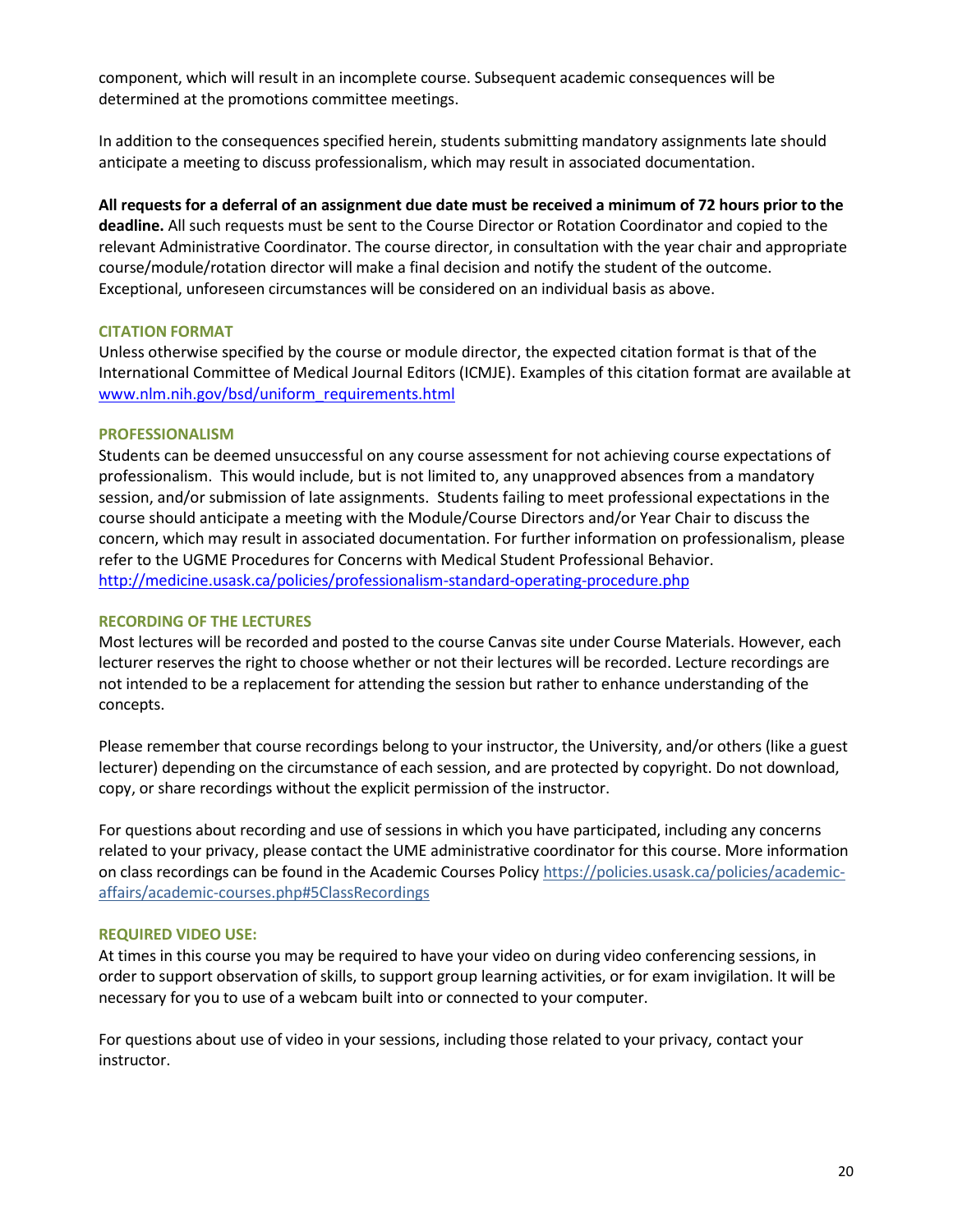component, which will result in an incomplete course. Subsequent academic consequences will be determined at the promotions committee meetings.

In addition to the consequences specified herein, students submitting mandatory assignments late should anticipate a meeting to discuss professionalism, which may result in associated documentation.

**All requests for a deferral of an assignment due date must be received a minimum of 72 hours prior to the deadline.** All such requests must be sent to the Course Director or Rotation Coordinator and copied to the relevant Administrative Coordinator. The course director, in consultation with the year chair and appropriate course/module/rotation director will make a final decision and notify the student of the outcome. Exceptional, unforeseen circumstances will be considered on an individual basis as above.

## **CITATION FORMAT**

Unless otherwise specified by the course or module director, the expected citation format is that of the International Committee of Medical Journal Editors (ICMJE). Examples of this citation format are available at [www.nlm.nih.gov/bsd/uniform\\_requirements.html](http://www.nlm.nih.gov/bsd/uniform_requirements.html)

#### **PROFESSIONALISM**

Students can be deemed unsuccessful on any course assessment for not achieving course expectations of professionalism. This would include, but is not limited to, any unapproved absences from a mandatory session, and/or submission of late assignments. Students failing to meet professional expectations in the course should anticipate a meeting with the Module/Course Directors and/or Year Chair to discuss the concern, which may result in associated documentation. For further information on professionalism, please refer to the UGME Procedures for Concerns with Medical Student Professional Behavior. <http://medicine.usask.ca/policies/professionalism-standard-operating-procedure.php>

#### **RECORDING OF THE LECTURES**

Most lectures will be recorded and posted to the course Canvas site under Course Materials. However, each lecturer reserves the right to choose whether or not their lectures will be recorded. Lecture recordings are not intended to be a replacement for attending the session but rather to enhance understanding of the concepts.

Please remember that course recordings belong to your instructor, the University, and/or others (like a guest lecturer) depending on the circumstance of each session, and are protected by copyright. Do not download, copy, or share recordings without the explicit permission of the instructor.

For questions about recording and use of sessions in which you have participated, including any concerns related to your privacy, please contact the UME administrative coordinator for this course. More information on class recordings can be found in the Academic Courses Policy [https://policies.usask.ca/policies/academic](https://policies.usask.ca/policies/academic-affairs/academic-courses.php#5ClassRecordings)[affairs/academic-courses.php#5ClassRecordings](https://policies.usask.ca/policies/academic-affairs/academic-courses.php#5ClassRecordings)

#### **REQUIRED VIDEO USE:**

At times in this course you may be required to have your video on during video conferencing sessions, in order to support observation of skills, to support group learning activities, or for exam invigilation. It will be necessary for you to use of a webcam built into or connected to your computer.

For questions about use of video in your sessions, including those related to your privacy, contact your instructor.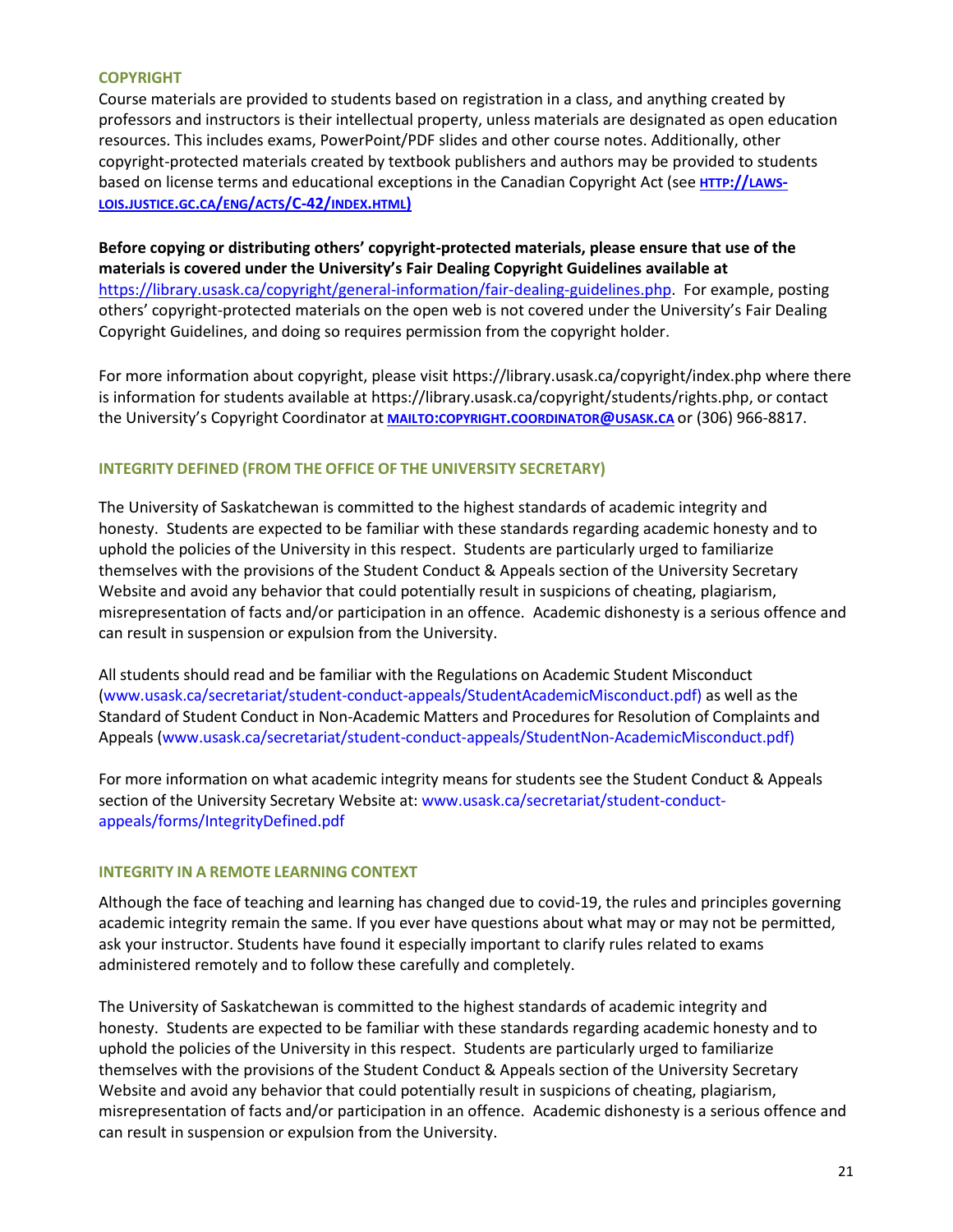## **COPYRIGHT**

Course materials are provided to students based on registration in a class, and anything created by professors and instructors is their intellectual property, unless materials are designated as open education resources. This includes exams, PowerPoint/PDF slides and other course notes. Additionally, other copyright-protected materials created by textbook publishers and authors may be provided to students based on license terms and educational exceptions in the Canadian Copyright Act (see **HTTP://[LAWS](http://laws-lois.justice.gc.ca/eng/acts/C-42/index.html))-LOIS.JUSTICE.GC.CA/ENG/ACTS[/C-42/](http://laws-lois.justice.gc.ca/eng/acts/C-42/index.html))INDEX.HTML)**

**Before copying or distributing others' copyright-protected materials, please ensure that use of the materials is covered under the University's Fair Dealing Copyright Guidelines available at** [https://library.usask.ca/copyright/general-information/fair-dealing-guidelines.php.](https://library.usask.ca/copyright/general-information/fair-dealing-guidelines.php)For example, posting others' copyright-protected materials on the open web is not covered under the University's Fair Dealing Copyright Guidelines, and doing so requires permission from the copyright holder.

For more information about copyright, please visi[t https://library.usask.ca/copyright/index.php](https://library.usask.ca/copyright/index.php) where there is information for students available a[t https://library.usask.ca/copyright/students/rights.php,](https://library.usask.ca/copyright/students/rights.php) or contact the University's Copyright Coordinator at **MAILTO:COPYRIGHT.[COORDINATOR](mailto:copyright.coordinator@usask.ca)@USASK.CA** or (306) 966-8817.

# **INTEGRITY DEFINED (FROM THE OFFICE OF THE UNIVERSITY SECRETARY)**

The University of Saskatchewan is committed to the highest standards of academic integrity and honesty. Students are expected to be familiar with these standards regarding academic honesty and to uphold the policies of the University in this respect. Students are particularly urged to familiarize themselves with the provisions of the Student Conduct & Appeals section of the University Secretary Website and avoid any behavior that could potentially result in suspicions of cheating, plagiarism, misrepresentation of facts and/or participation in an offence. Academic dishonesty is a serious offence and can result in suspension or expulsion from the University.

All students should read and be familiar with the Regulations on Academic Student Misconduct [\(www.usask.ca/secretariat/student-conduct-appeals/StudentAcademicMisconduct.pdf\)](http://www.usask.ca/secretariat/student-conduct-appeals/StudentAcademicMisconduct.pdf) as well as the Standard of Student Conduct in Non-Academic Matters and Procedures for Resolution of Complaints and Appeals [\(www.usask.ca/secretariat/student-conduct-appeals/StudentNon-AcademicMisconduct.pdf\)](http://www.usask.ca/secretariat/student-conduct-appeals/StudentNon-AcademicMisconduct.pdf)

For more information on what academic integrity means for students see the Student Conduct & Appeals section of the University Secretary Website at: [www.usask.ca/secretariat/student-conduct](http://www.usask.ca/secretariat/student-conduct-appeals/forms/IntegrityDefined.pdf)[appeals/forms/IntegrityDefined.pdf](http://www.usask.ca/secretariat/student-conduct-appeals/forms/IntegrityDefined.pdf)

## **INTEGRITY IN A REMOTE LEARNING CONTEXT**

Although the face of teaching and learning has changed due to covid-19, the rules and principles governing academic integrity remain the same. If you ever have questions about what may or may not be permitted, ask your instructor. Students have found it especially important to clarify rules related to exams administered remotely and to follow these carefully and completely.

The University of Saskatchewan is committed to the highest standards of academic integrity and honesty. Students are expected to be familiar with these standards regarding academic honesty and to uphold the policies of the University in this respect. Students are particularly urged to familiarize themselves with the provisions of the Student Conduct & Appeals section of the University Secretary Website and avoid any behavior that could potentially result in suspicions of cheating, plagiarism, misrepresentation of facts and/or participation in an offence. Academic dishonesty is a serious offence and can result in suspension or expulsion from the University.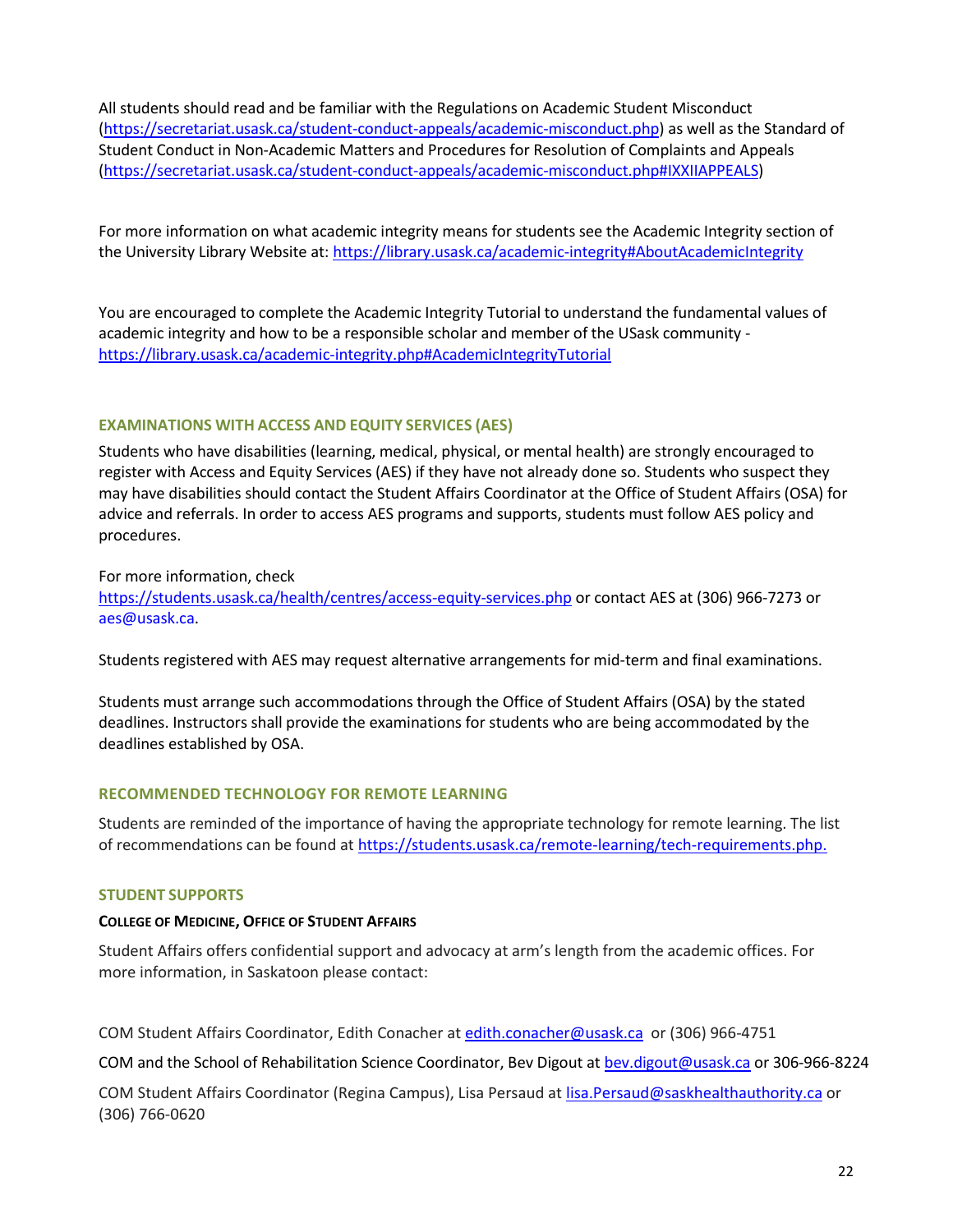All students should read and be familiar with the Regulations on Academic Student Misconduct [\(https://secretariat.usask.ca/student-conduct-appeals/academic-misconduct.php\)](https://secretariat.usask.ca/student-conduct-appeals/academic-misconduct.php) as well as the Standard of Student Conduct in Non-Academic Matters and Procedures for Resolution of Complaints and Appeals [\(https://secretariat.usask.ca/student-conduct-appeals/academic-misconduct.php#IXXIIAPPEALS\)](https://secretariat.usask.ca/student-conduct-appeals/academic-misconduct.php#IXXIIAPPEALS)

For more information on what academic integrity means for students see the Academic Integrity section of the University Library Website at:<https://library.usask.ca/academic-integrity#AboutAcademicIntegrity>

You are encouraged to complete the Academic Integrity Tutorial to understand the fundamental values of academic integrity and how to be a responsible scholar and member of the USask community <https://library.usask.ca/academic-integrity.php#AcademicIntegrityTutorial>

## **EXAMINATIONS WITH ACCESS AND EQUITY SERVICES (AES)**

Students who have disabilities (learning, medical, physical, or mental health) are strongly encouraged to register with Access and Equity Services (AES) if they have not already done so. Students who suspect they may have disabilities should contact the Student Affairs Coordinator at the Office of Student Affairs (OSA) for advice and referrals. In order to access AES programs and supports, students must follow AES policy and procedures.

For more information, check

<https://students.usask.ca/health/centres/access-equity-services.php> or contact AES at (306) 966-7273 or aes@usask.ca.

Students registered with AES may request alternative arrangements for mid-term and final examinations.

Students must arrange such accommodations through the Office of Student Affairs (OSA) by the stated deadlines. Instructors shall provide the examinations for students who are being accommodated by the deadlines established by OSA.

## **RECOMMENDED TECHNOLOGY FOR REMOTE LEARNING**

Students are reminded of the importance of having the appropriate technology for remote learning. The list of recommendations can be found at [https://students.usask.ca/remote-learning/tech-requirements.php.](https://students.usask.ca/remote-learning/tech-requirements.php)

## **STUDENT SUPPORTS**

## **COLLEGE OF MEDICINE, OFFICE OF STUDENT AFFAIRS**

Student Affairs offers confidential support and advocacy at arm's length from the academic offices. For more information, in Saskatoon please contact:

COM Student Affairs Coordinator, Edith Conacher at [edith.conacher@usask.ca](mailto:edith.conacher@usask.ca) or (306) 966-4751

COM and the School of Rehabilitation Science Coordinator, Bev Digout at [bev.digout@usask.ca](mailto:bev.digout@usask.ca) or 306-966-8224

COM Student Affairs Coordinator (Regina Campus), Lisa Persaud a[t lisa.Persaud@saskhealthauthority.ca](mailto:lisa.Persaud@saskhealthauthority.ca) or (306) 766-0620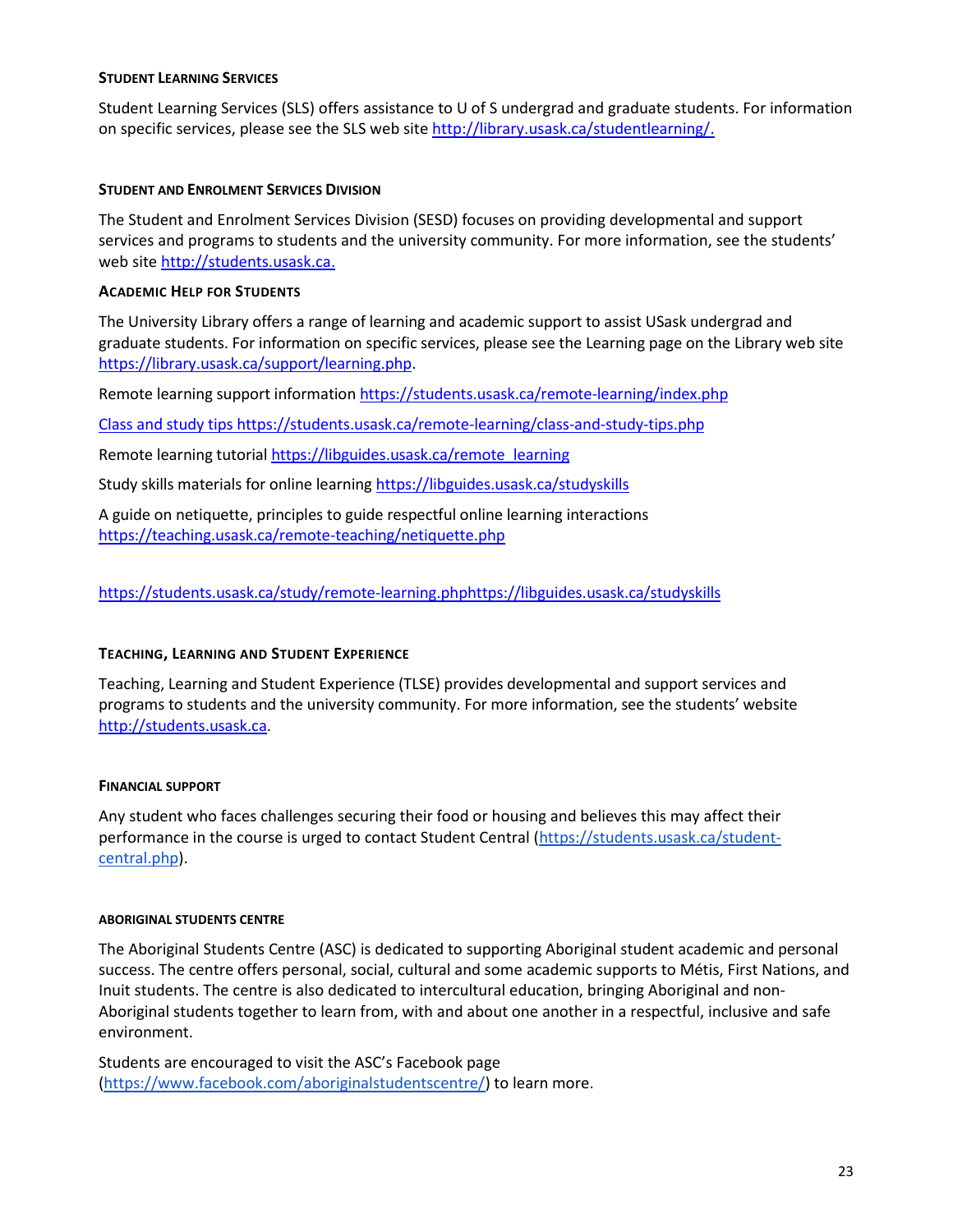#### **STUDENT LEARNING SERVICES**

Student Learning Services (SLS) offers assistance to U of S undergrad and graduate students. For information on specific services, please see the SLS web sit[e](http://library.usask.ca/studentlearning/) [http://library.usask.ca/studentlearning/.](http://library.usask.ca/studentlearning/)

# **STUDENT AND ENROLMENT SERVICES DIVISION**

The Student and Enrolment Services Division (SESD) focuses on providing developmental and support services and programs to students and the university community. For more information, see the students' web site [http://students.usask.ca.](http://students.usask.ca/)

# **ACADEMIC HELP FOR STUDENTS**

The University Library offers a range of learning and academic support to assist USask undergrad and graduate students. For information on specific services, please see the Learning page on the Library web site [https://library.usask.ca/support/learning.php.](https://library.usask.ca/support/learning.php)

Remote learning support information<https://students.usask.ca/remote-learning/index.php>

Class and study tips<https://students.usask.ca/remote-learning/class-and-study-tips.php>

Remote learning tutoria[l https://libguides.usask.ca/remote\\_learning](https://libguides.usask.ca/remote_learning)

Study skills materials for online learnin[g https://libguides.usask.ca/studyskills](https://libguides.usask.ca/studyskills)

A guide on netiquette, principles to guide respectful online learning interactions <https://teaching.usask.ca/remote-teaching/netiquette.php>

<https://students.usask.ca/study/remote-learning.php><https://libguides.usask.ca/studyskills>

# **TEACHING, LEARNING AND STUDENT EXPERIENCE**

Teaching, Learning and Student Experience (TLSE) provides developmental and support services and programs to students and the university community. For more information, see the students' website [http://students.usask.ca.](http://students.usask.ca/)

## **FINANCIAL SUPPORT**

Any student who faces challenges securing their food or housing and believes this may affect their performance in the course is urged to contact Student Central [\(https://students.usask.ca/student](https://students.usask.ca/student-central.php)[central.php\)](https://students.usask.ca/student-central.php).

## **ABORIGINAL STUDENTS CENTRE**

The Aboriginal Students Centre (ASC) is dedicated to supporting Aboriginal student academic and personal success. The centre offers personal, social, cultural and some academic supports to Métis, First Nations, and Inuit students. The centre is also dedicated to intercultural education, bringing Aboriginal and non-Aboriginal students together to learn from, with and about one another in a respectful, inclusive and safe environment.

Students are encouraged to visit the ASC's Facebook page [\(https://www.facebook.com/aboriginalstudentscentre/\)](https://www.facebook.com/aboriginalstudentscentre/) to learn more.